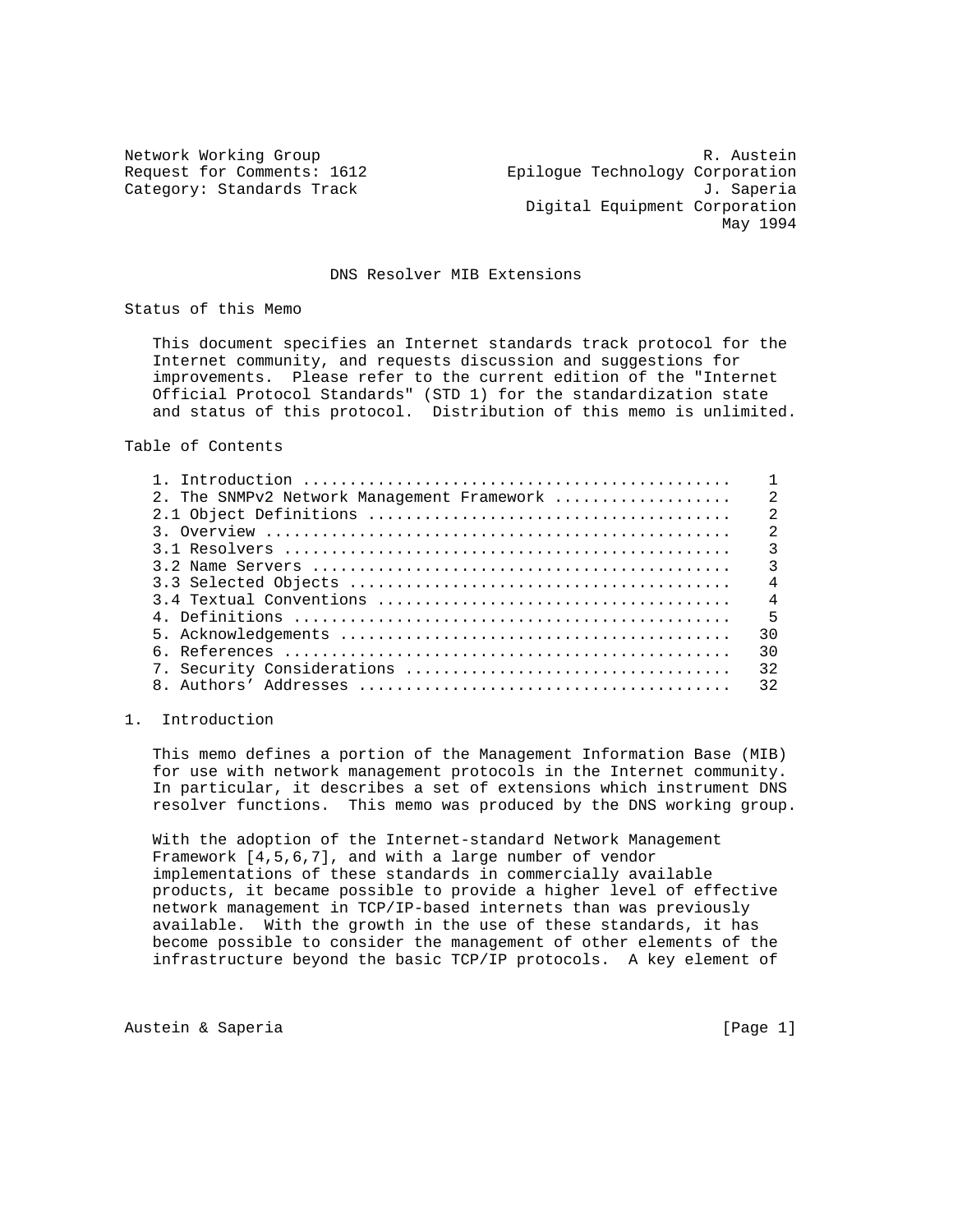Network Working Group and the set of the set of the set of the R. Austein Request for Comments: 1612 Epilogue Technology Corporation Category: Standards Track J. Saperia Digital Equipment Corporation May 1994

## DNS Resolver MIB Extensions

Status of this Memo

 This document specifies an Internet standards track protocol for the Internet community, and requests discussion and suggestions for improvements. Please refer to the current edition of the "Internet Official Protocol Standards" (STD 1) for the standardization state and status of this protocol. Distribution of this memo is unlimited.

Table of Contents

| 2. The SNMPv2 Network Management Framework | $\mathcal{L}$  |
|--------------------------------------------|----------------|
|                                            | $\mathfrak{D}$ |
|                                            | $\mathcal{L}$  |
|                                            | ζ              |
|                                            | $\mathcal{L}$  |
|                                            | $\overline{4}$ |
|                                            | $\overline{4}$ |
|                                            | $-5$           |
|                                            | 30             |
|                                            | 30             |
|                                            | 32             |
|                                            | 32             |
|                                            |                |

### 1. Introduction

 This memo defines a portion of the Management Information Base (MIB) for use with network management protocols in the Internet community. In particular, it describes a set of extensions which instrument DNS resolver functions. This memo was produced by the DNS working group.

 With the adoption of the Internet-standard Network Management Framework [4,5,6,7], and with a large number of vendor implementations of these standards in commercially available products, it became possible to provide a higher level of effective network management in TCP/IP-based internets than was previously available. With the growth in the use of these standards, it has become possible to consider the management of other elements of the infrastructure beyond the basic TCP/IP protocols. A key element of

Austein & Saperia (Page 1)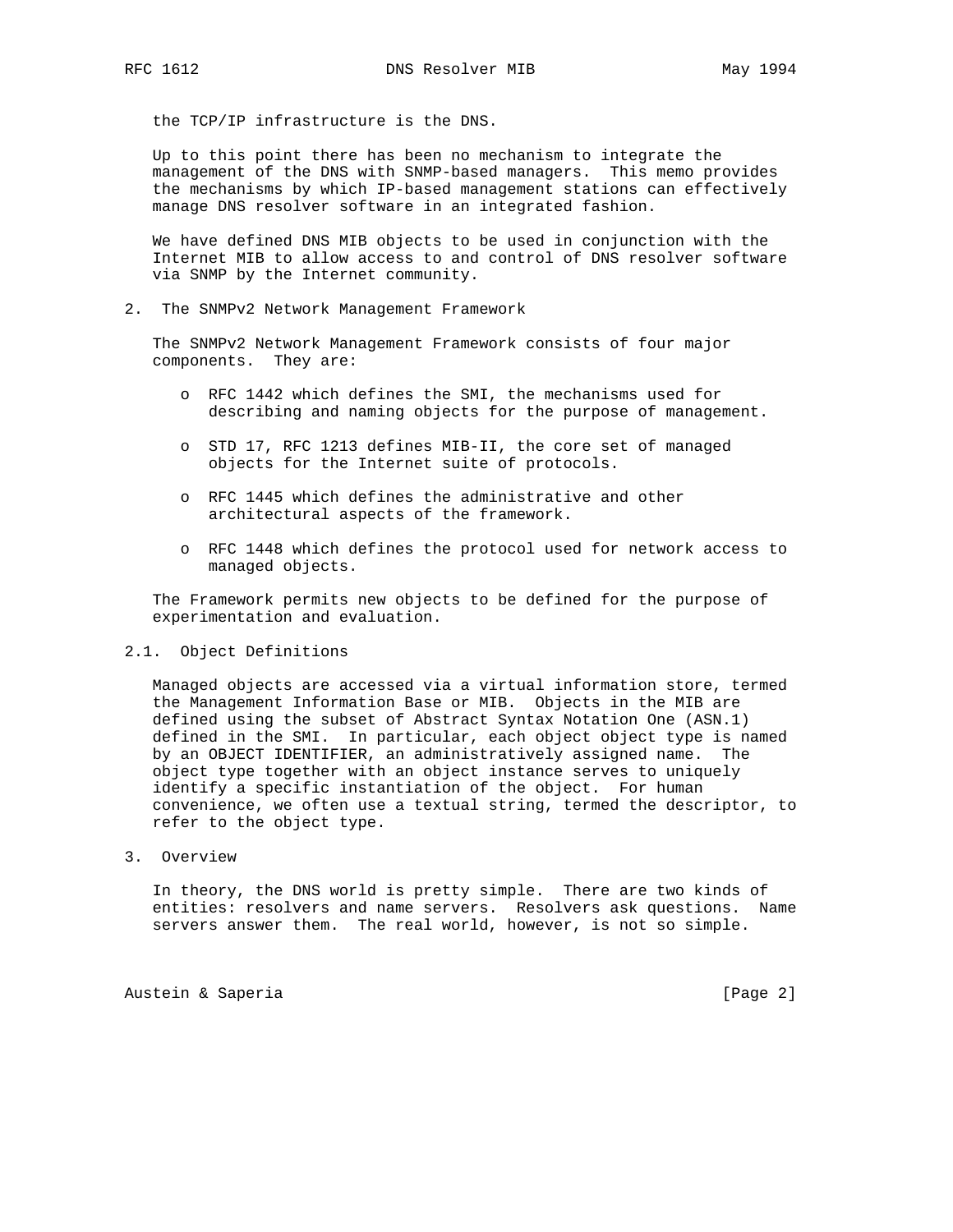the TCP/IP infrastructure is the DNS.

 Up to this point there has been no mechanism to integrate the management of the DNS with SNMP-based managers. This memo provides the mechanisms by which IP-based management stations can effectively manage DNS resolver software in an integrated fashion.

 We have defined DNS MIB objects to be used in conjunction with the Internet MIB to allow access to and control of DNS resolver software via SNMP by the Internet community.

2. The SNMPv2 Network Management Framework

 The SNMPv2 Network Management Framework consists of four major components. They are:

- o RFC 1442 which defines the SMI, the mechanisms used for describing and naming objects for the purpose of management.
- o STD 17, RFC 1213 defines MIB-II, the core set of managed objects for the Internet suite of protocols.
- o RFC 1445 which defines the administrative and other architectural aspects of the framework.
- o RFC 1448 which defines the protocol used for network access to managed objects.

 The Framework permits new objects to be defined for the purpose of experimentation and evaluation.

### 2.1. Object Definitions

 Managed objects are accessed via a virtual information store, termed the Management Information Base or MIB. Objects in the MIB are defined using the subset of Abstract Syntax Notation One (ASN.1) defined in the SMI. In particular, each object object type is named by an OBJECT IDENTIFIER, an administratively assigned name. The object type together with an object instance serves to uniquely identify a specific instantiation of the object. For human convenience, we often use a textual string, termed the descriptor, to refer to the object type.

3. Overview

 In theory, the DNS world is pretty simple. There are two kinds of entities: resolvers and name servers. Resolvers ask questions. Name servers answer them. The real world, however, is not so simple.

Austein & Saperia (Page 2)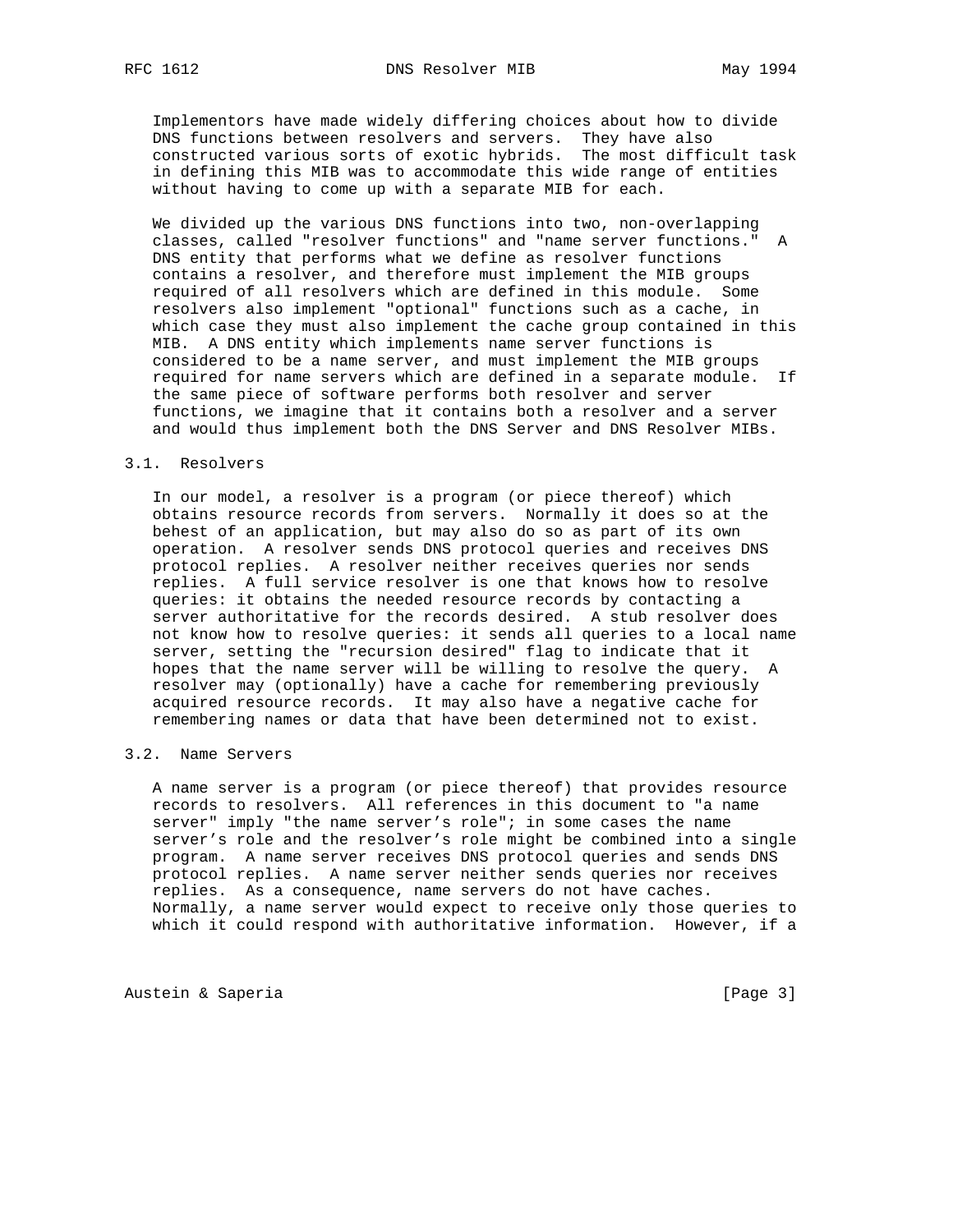Implementors have made widely differing choices about how to divide DNS functions between resolvers and servers. They have also constructed various sorts of exotic hybrids. The most difficult task in defining this MIB was to accommodate this wide range of entities without having to come up with a separate MIB for each.

 We divided up the various DNS functions into two, non-overlapping classes, called "resolver functions" and "name server functions." A DNS entity that performs what we define as resolver functions contains a resolver, and therefore must implement the MIB groups required of all resolvers which are defined in this module. Some resolvers also implement "optional" functions such as a cache, in which case they must also implement the cache group contained in this MIB. A DNS entity which implements name server functions is considered to be a name server, and must implement the MIB groups required for name servers which are defined in a separate module. If the same piece of software performs both resolver and server functions, we imagine that it contains both a resolver and a server and would thus implement both the DNS Server and DNS Resolver MIBs.

### 3.1. Resolvers

 In our model, a resolver is a program (or piece thereof) which obtains resource records from servers. Normally it does so at the behest of an application, but may also do so as part of its own operation. A resolver sends DNS protocol queries and receives DNS protocol replies. A resolver neither receives queries nor sends replies. A full service resolver is one that knows how to resolve queries: it obtains the needed resource records by contacting a server authoritative for the records desired. A stub resolver does not know how to resolve queries: it sends all queries to a local name server, setting the "recursion desired" flag to indicate that it hopes that the name server will be willing to resolve the query. A resolver may (optionally) have a cache for remembering previously acquired resource records. It may also have a negative cache for remembering names or data that have been determined not to exist.

# 3.2. Name Servers

 A name server is a program (or piece thereof) that provides resource records to resolvers. All references in this document to "a name server" imply "the name server's role"; in some cases the name server's role and the resolver's role might be combined into a single program. A name server receives DNS protocol queries and sends DNS protocol replies. A name server neither sends queries nor receives replies. As a consequence, name servers do not have caches. Normally, a name server would expect to receive only those queries to which it could respond with authoritative information. However, if a

Austein & Saperia (Page 3)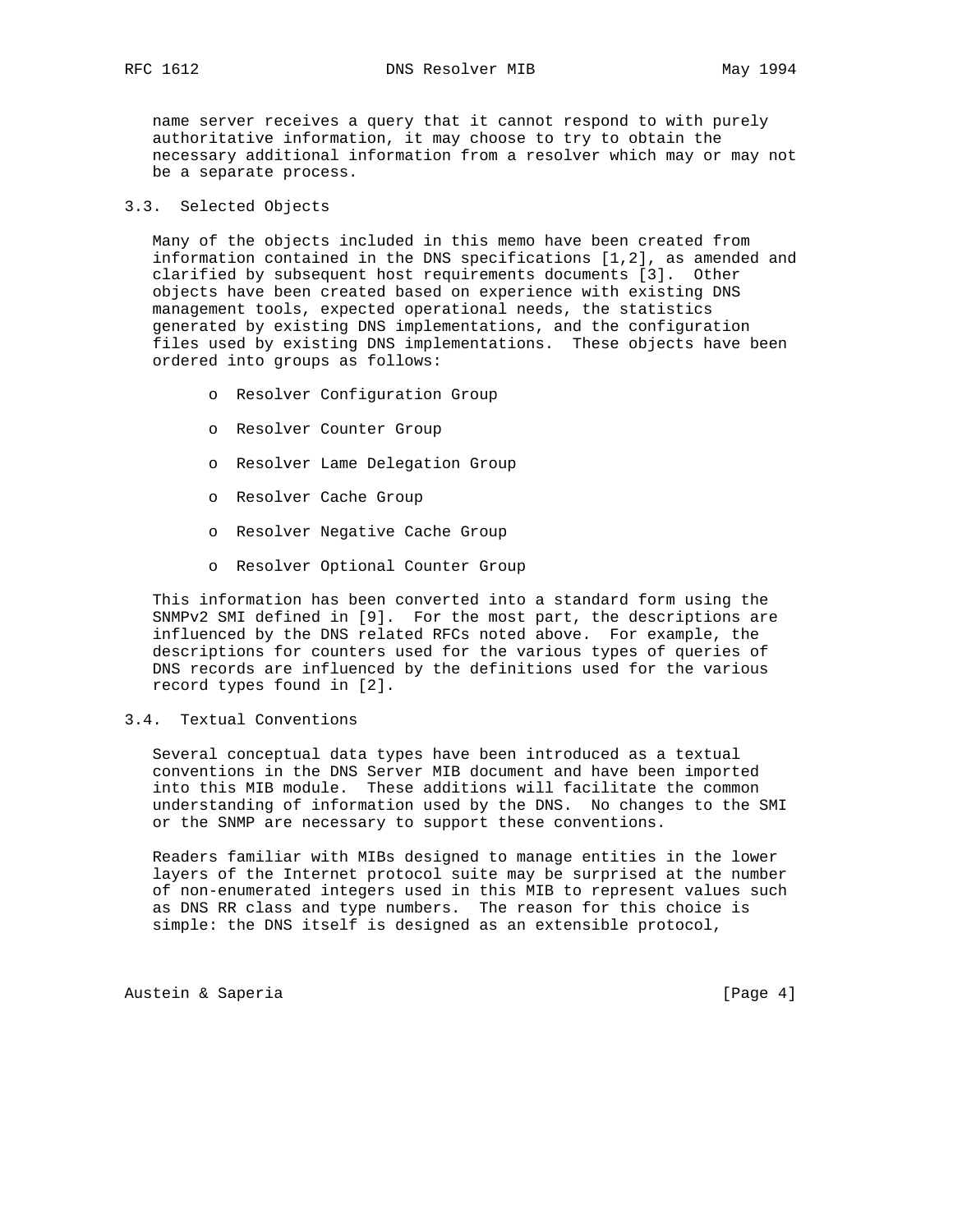name server receives a query that it cannot respond to with purely authoritative information, it may choose to try to obtain the necessary additional information from a resolver which may or may not be a separate process.

# 3.3. Selected Objects

 Many of the objects included in this memo have been created from information contained in the DNS specifications [1,2], as amended and clarified by subsequent host requirements documents [3]. Other objects have been created based on experience with existing DNS management tools, expected operational needs, the statistics generated by existing DNS implementations, and the configuration files used by existing DNS implementations. These objects have been ordered into groups as follows:

- o Resolver Configuration Group
- o Resolver Counter Group
- o Resolver Lame Delegation Group
- o Resolver Cache Group
- o Resolver Negative Cache Group
- o Resolver Optional Counter Group

 This information has been converted into a standard form using the SNMPv2 SMI defined in [9]. For the most part, the descriptions are influenced by the DNS related RFCs noted above. For example, the descriptions for counters used for the various types of queries of DNS records are influenced by the definitions used for the various record types found in [2].

# 3.4. Textual Conventions

 Several conceptual data types have been introduced as a textual conventions in the DNS Server MIB document and have been imported into this MIB module. These additions will facilitate the common understanding of information used by the DNS. No changes to the SMI or the SNMP are necessary to support these conventions.

 Readers familiar with MIBs designed to manage entities in the lower layers of the Internet protocol suite may be surprised at the number of non-enumerated integers used in this MIB to represent values such as DNS RR class and type numbers. The reason for this choice is simple: the DNS itself is designed as an extensible protocol,

Austein & Saperia (Page 4)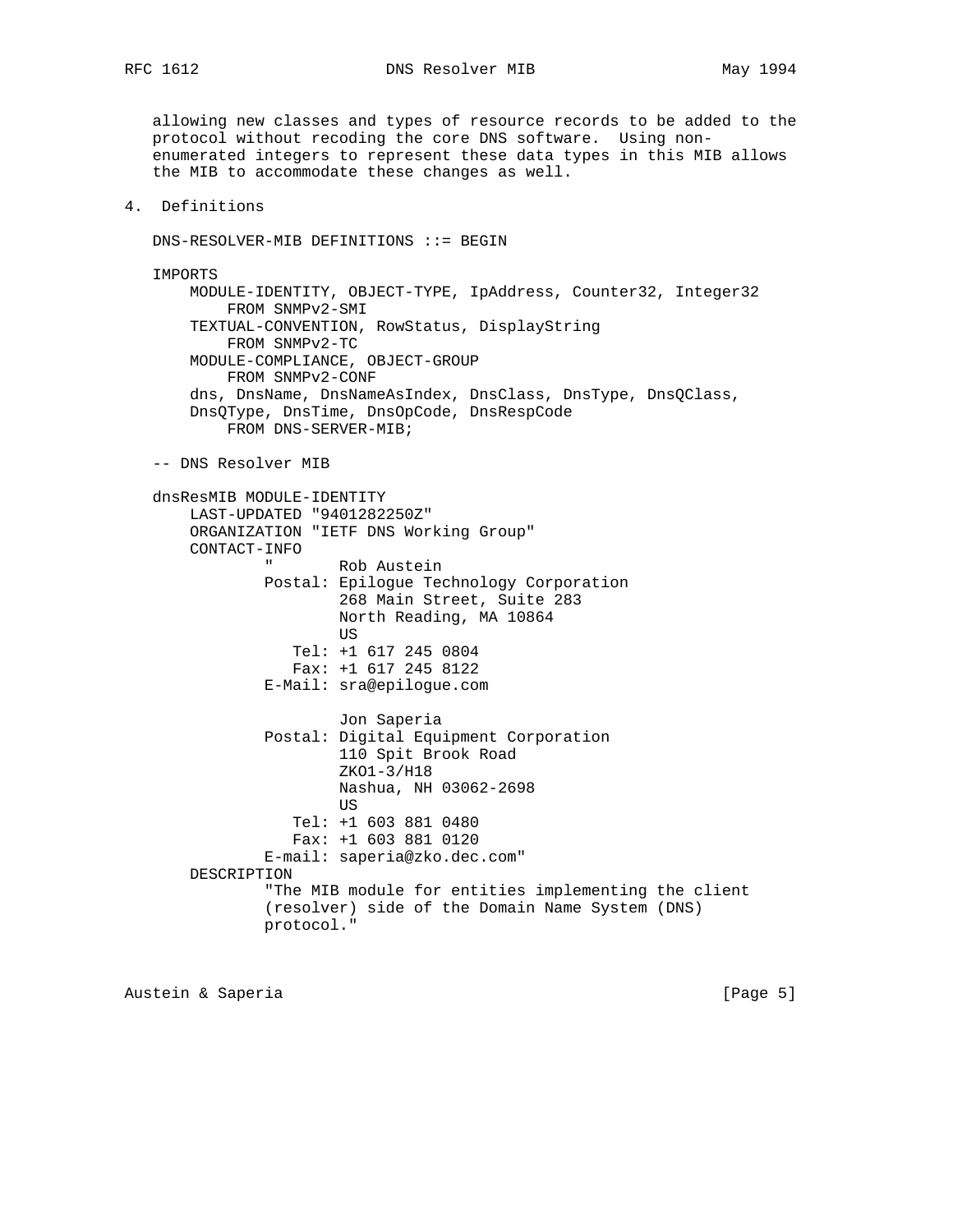RFC 1612 DNS Resolver MIB May 1994

 allowing new classes and types of resource records to be added to the protocol without recoding the core DNS software. Using non enumerated integers to represent these data types in this MIB allows the MIB to accommodate these changes as well.

4. Definitions

DNS-RESOLVER-MIB DEFINITIONS ::= BEGIN

 IMPORTS MODULE-IDENTITY, OBJECT-TYPE, IpAddress, Counter32, Integer32 FROM SNMPv2-SMI TEXTUAL-CONVENTION, RowStatus, DisplayString FROM SNMPv2-TC MODULE-COMPLIANCE, OBJECT-GROUP FROM SNMPv2-CONF dns, DnsName, DnsNameAsIndex, DnsClass, DnsType, DnsQClass, DnsQType, DnsTime, DnsOpCode, DnsRespCode FROM DNS-SERVER-MIB;

-- DNS Resolver MIB

```
 dnsResMIB MODULE-IDENTITY
       LAST-UPDATED "9401282250Z"
       ORGANIZATION "IETF DNS Working Group"
       CONTACT-INFO
               " Rob Austein
               Postal: Epilogue Technology Corporation
                       268 Main Street, Suite 283
                       North Reading, MA 10864
US US US
                  Tel: +1 617 245 0804
                  Fax: +1 617 245 8122
               E-Mail: sra@epilogue.com
                       Jon Saperia
               Postal: Digital Equipment Corporation
                       110 Spit Brook Road
                       ZKO1-3/H18
                       Nashua, NH 03062-2698
US US US
                  Tel: +1 603 881 0480
                  Fax: +1 603 881 0120
               E-mail: saperia@zko.dec.com"
       DESCRIPTION
               "The MIB module for entities implementing the client
               (resolver) side of the Domain Name System (DNS)
               protocol."
```
Austein & Saperia (Page 5)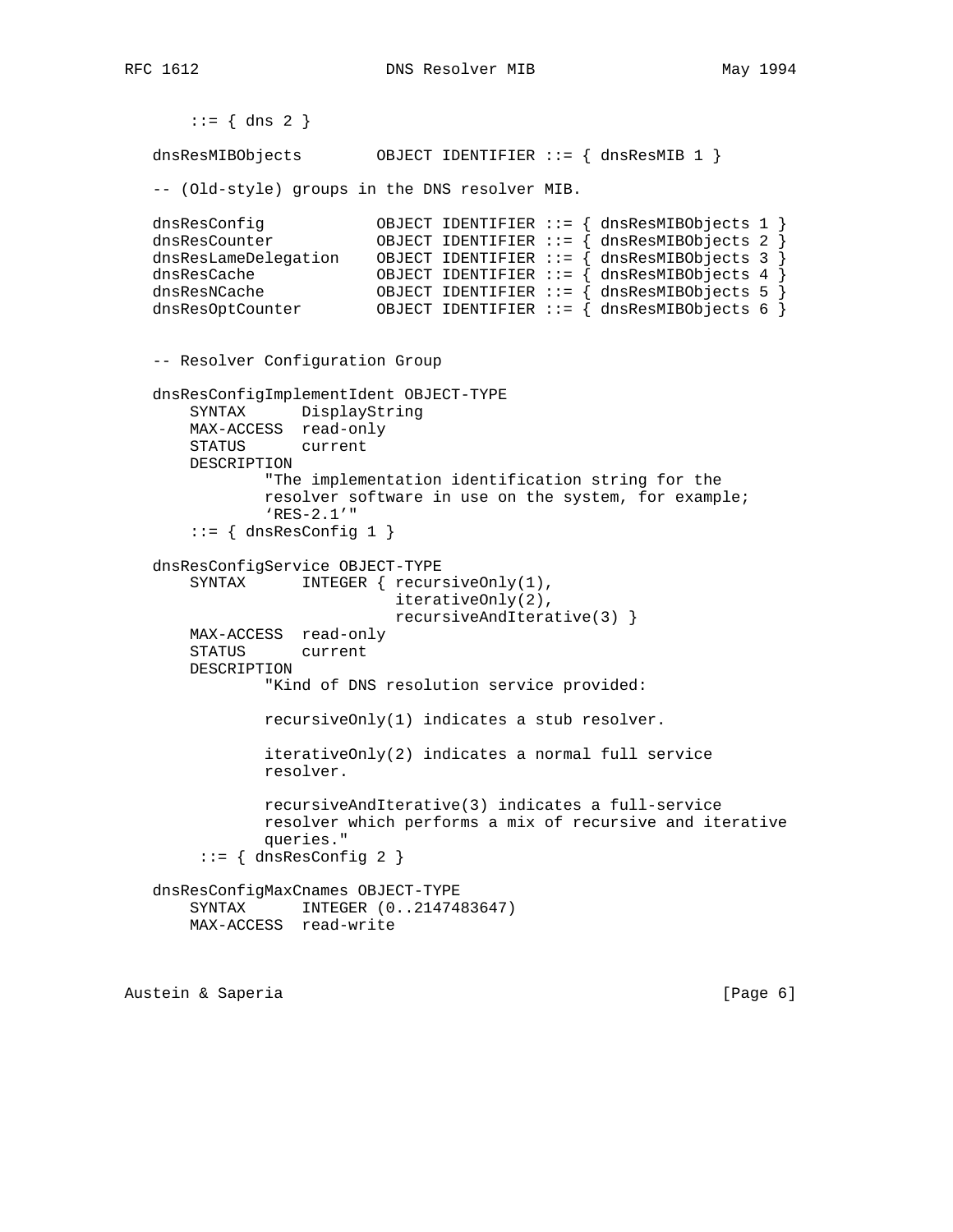```
RFC 1612 DNS Resolver MIB May 1994
```

```
::= \{ \text{dns } 2 \} dnsResMIBObjects OBJECT IDENTIFIER ::= { dnsResMIB 1 }
   -- (Old-style) groups in the DNS resolver MIB.
 dnsResConfig OBJECT IDENTIFIER ::= { dnsResMIBObjects 1 }
 dnsResCounter OBJECT IDENTIFIER ::= { dnsResMIBObjects 2 }
 dnsResLameDelegation OBJECT IDENTIFIER ::= { dnsResMIBObjects 3 }
 dnsResCache OBJECT IDENTIFIER ::= { dnsResMIBObjects 4 }
 dnsResNCache OBJECT IDENTIFIER ::= { dnsResMIBObjects 5 }
 dnsResOptCounter OBJECT IDENTIFIER ::= { dnsResMIBObjects 6 }
   -- Resolver Configuration Group
   dnsResConfigImplementIdent OBJECT-TYPE
       SYNTAX DisplayString
       MAX-ACCESS read-only
       STATUS current
       DESCRIPTION
               "The implementation identification string for the
               resolver software in use on the system, for example;
               'RES-2.1'"
       ::= { dnsResConfig 1 }
   dnsResConfigService OBJECT-TYPE
      SYNTAX INTEGER { recursiveOnly(1),
                            iterativeOnly(2),
                            recursiveAndIterative(3) }
       MAX-ACCESS read-only
       STATUS current
       DESCRIPTION
               "Kind of DNS resolution service provided:
               recursiveOnly(1) indicates a stub resolver.
               iterativeOnly(2) indicates a normal full service
               resolver.
               recursiveAndIterative(3) indicates a full-service
               resolver which performs a mix of recursive and iterative
               queries."
       ::= { dnsResConfig 2 }
   dnsResConfigMaxCnames OBJECT-TYPE
       SYNTAX INTEGER (0..2147483647)
       MAX-ACCESS read-write
```
Austein & Saperia (Page 6)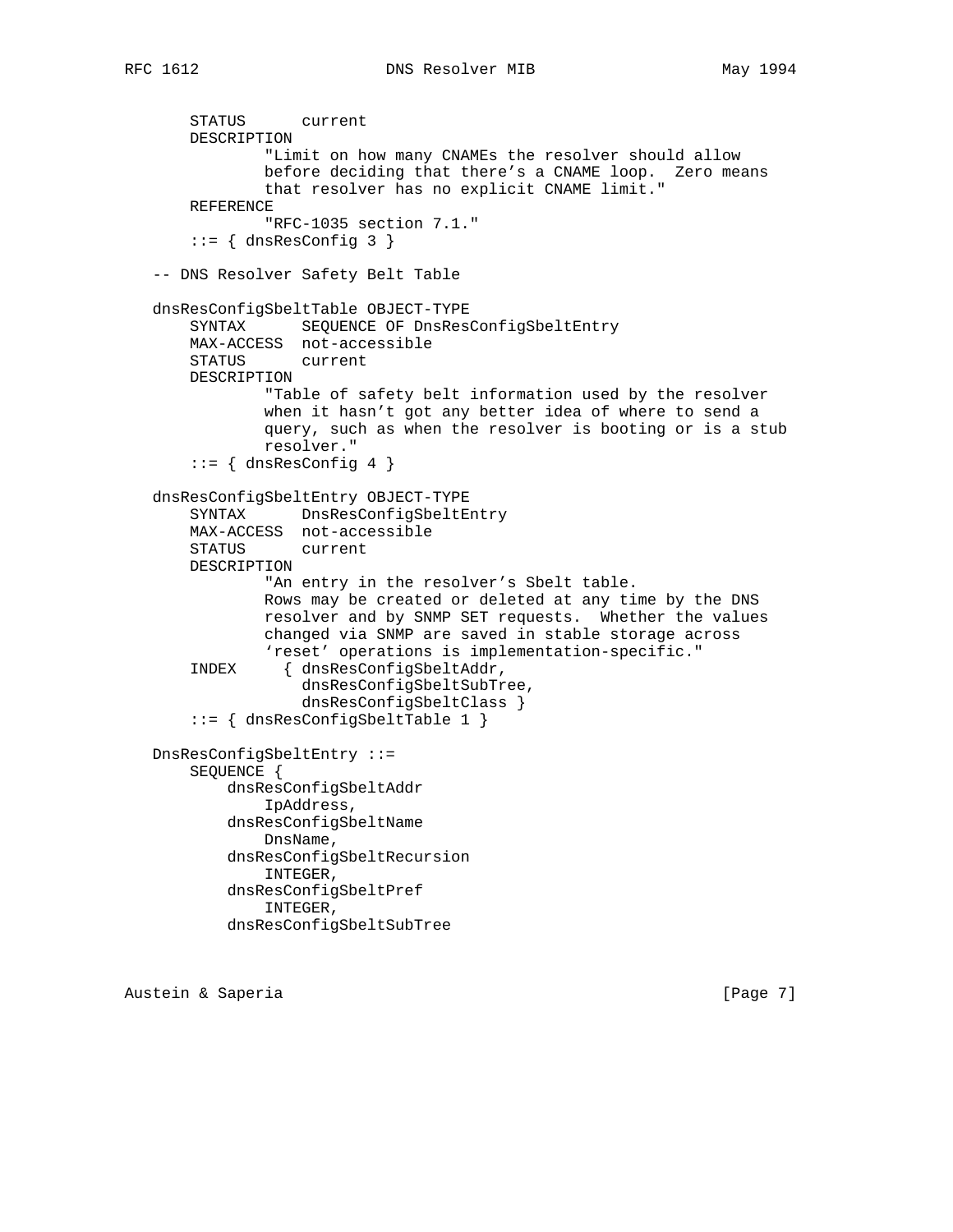```
 STATUS current
    DESCRIPTION
             "Limit on how many CNAMEs the resolver should allow
             before deciding that there's a CNAME loop. Zero means
             that resolver has no explicit CNAME limit."
    REFERENCE
             "RFC-1035 section 7.1."
    ::= { dnsResConfig 3 }
 -- DNS Resolver Safety Belt Table
 dnsResConfigSbeltTable OBJECT-TYPE
     SYNTAX SEQUENCE OF DnsResConfigSbeltEntry
    MAX-ACCESS not-accessible
    STATUS current
    DESCRIPTION
             "Table of safety belt information used by the resolver
             when it hasn't got any better idea of where to send a
             query, such as when the resolver is booting or is a stub
             resolver."
     ::= { dnsResConfig 4 }
 dnsResConfigSbeltEntry OBJECT-TYPE
    SYNTAX DnsResConfigSbeltEntry
    MAX-ACCESS not-accessible
    STATUS current
    DESCRIPTION
            "An entry in the resolver's Sbelt table.
             Rows may be created or deleted at any time by the DNS
             resolver and by SNMP SET requests. Whether the values
             changed via SNMP are saved in stable storage across
             'reset' operations is implementation-specific."
     INDEX { dnsResConfigSbeltAddr,
                 dnsResConfigSbeltSubTree,
                 dnsResConfigSbeltClass }
     ::= { dnsResConfigSbeltTable 1 }
 DnsResConfigSbeltEntry ::=
    SEQUENCE {
         dnsResConfigSbeltAddr
             IpAddress,
         dnsResConfigSbeltName
            DnsName,
         dnsResConfigSbeltRecursion
            INTEGER,
         dnsResConfigSbeltPref
             INTEGER,
         dnsResConfigSbeltSubTree
```
Austein & Saperia (Page 7)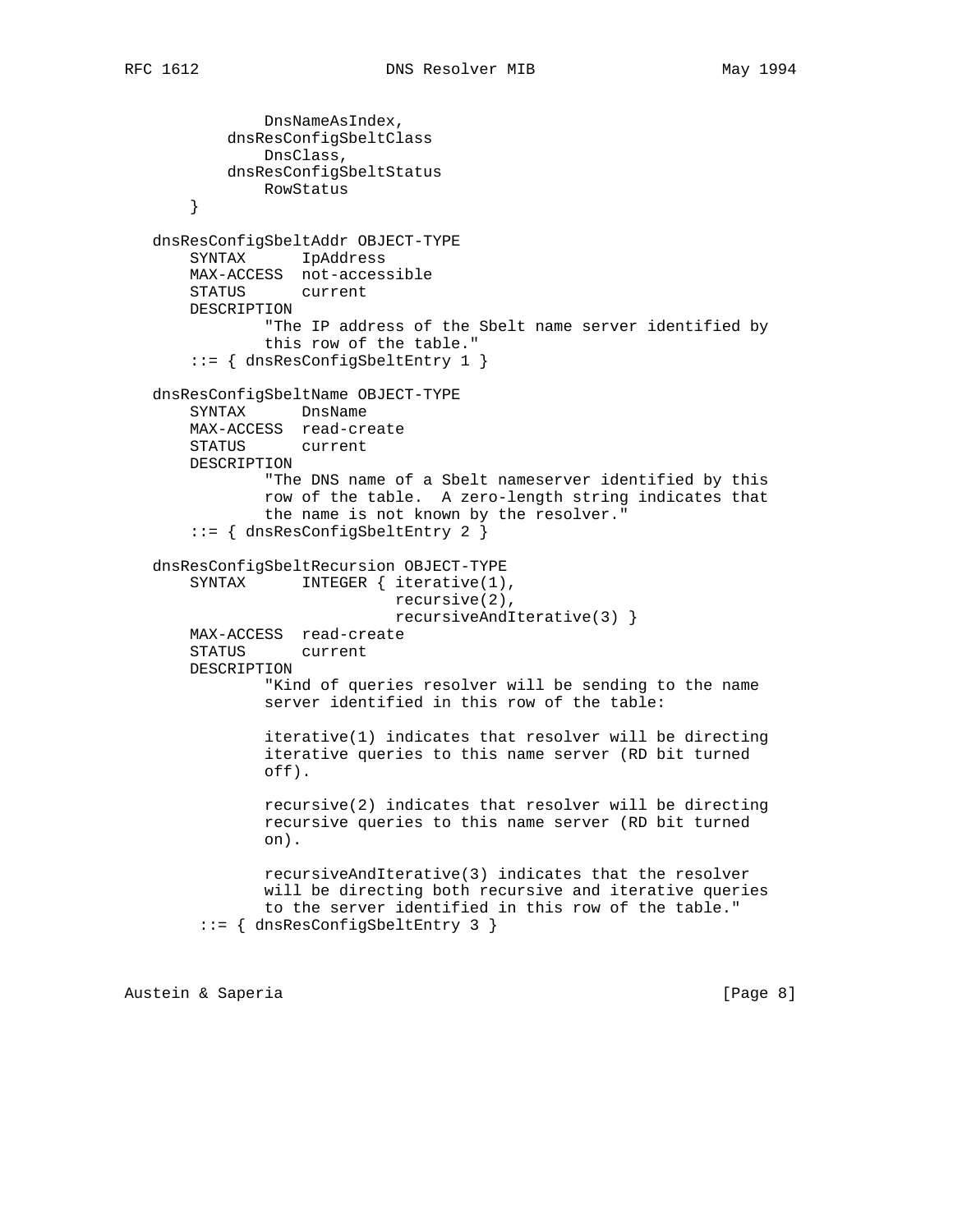```
 DnsNameAsIndex,
         dnsResConfigSbeltClass
            DnsClass,
         dnsResConfigSbeltStatus
            RowStatus
     }
 dnsResConfigSbeltAddr OBJECT-TYPE
    SYNTAX IpAddress
    MAX-ACCESS not-accessible
    STATUS current
    DESCRIPTION
            "The IP address of the Sbelt name server identified by
             this row of the table."
     ::= { dnsResConfigSbeltEntry 1 }
 dnsResConfigSbeltName OBJECT-TYPE
    SYNTAX DnsName
    MAX-ACCESS read-create
    STATUS current
    DESCRIPTION
             "The DNS name of a Sbelt nameserver identified by this
             row of the table. A zero-length string indicates that
             the name is not known by the resolver."
     ::= { dnsResConfigSbeltEntry 2 }
 dnsResConfigSbeltRecursion OBJECT-TYPE
    SYNTAX INTEGER { iterative(1),
                           recursive(2),
                          recursiveAndIterative(3) }
    MAX-ACCESS read-create
    STATUS current
    DESCRIPTION
             "Kind of queries resolver will be sending to the name
             server identified in this row of the table:
             iterative(1) indicates that resolver will be directing
             iterative queries to this name server (RD bit turned
             off).
             recursive(2) indicates that resolver will be directing
             recursive queries to this name server (RD bit turned
             on).
            recursiveAndIterative(3) indicates that the resolver
            will be directing both recursive and iterative queries
            to the server identified in this row of the table."
      ::= { dnsResConfigSbeltEntry 3 }
```
Austein & Saperia (Page 8)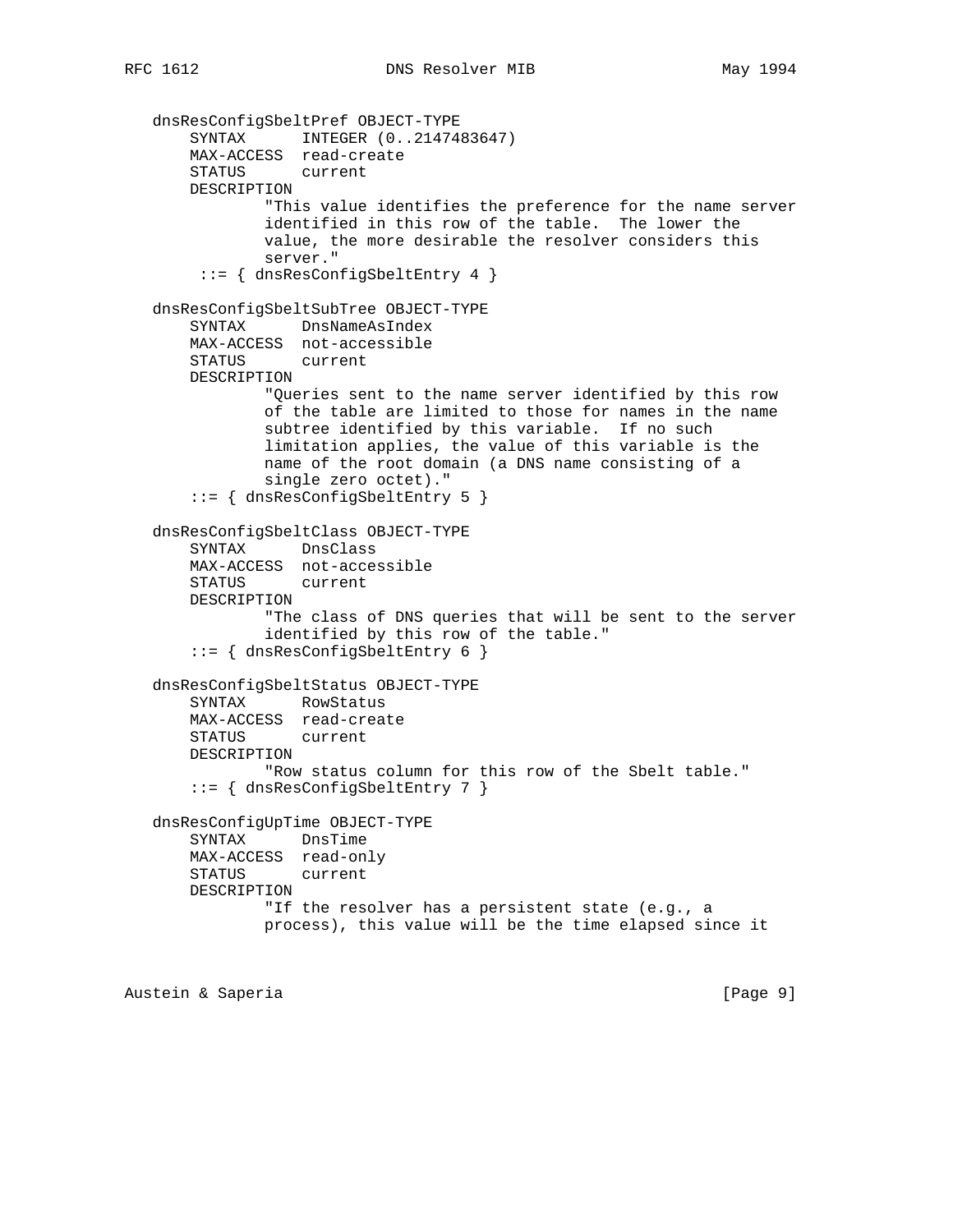```
 dnsResConfigSbeltPref OBJECT-TYPE
 SYNTAX INTEGER (0..2147483647)
 MAX-ACCESS read-create
       STATUS current
       DESCRIPTION
               "This value identifies the preference for the name server
               identified in this row of the table. The lower the
               value, the more desirable the resolver considers this
               server."
        ::= { dnsResConfigSbeltEntry 4 }
   dnsResConfigSbeltSubTree OBJECT-TYPE
       SYNTAX DnsNameAsIndex
       MAX-ACCESS not-accessible
       STATUS current
       DESCRIPTION
               "Queries sent to the name server identified by this row
               of the table are limited to those for names in the name
               subtree identified by this variable. If no such
               limitation applies, the value of this variable is the
               name of the root domain (a DNS name consisting of a
               single zero octet)."
       ::= { dnsResConfigSbeltEntry 5 }
   dnsResConfigSbeltClass OBJECT-TYPE
       SYNTAX DnsClass
       MAX-ACCESS not-accessible
       STATUS current
       DESCRIPTION
               "The class of DNS queries that will be sent to the server
               identified by this row of the table."
       ::= { dnsResConfigSbeltEntry 6 }
   dnsResConfigSbeltStatus OBJECT-TYPE
       SYNTAX RowStatus
       MAX-ACCESS read-create
       STATUS current
       DESCRIPTION
               "Row status column for this row of the Sbelt table."
       ::= { dnsResConfigSbeltEntry 7 }
   dnsResConfigUpTime OBJECT-TYPE
       SYNTAX DnsTime
       MAX-ACCESS read-only
       STATUS current
       DESCRIPTION
               "If the resolver has a persistent state (e.g., a
               process), this value will be the time elapsed since it
```
Austein & Saperia (Page 9)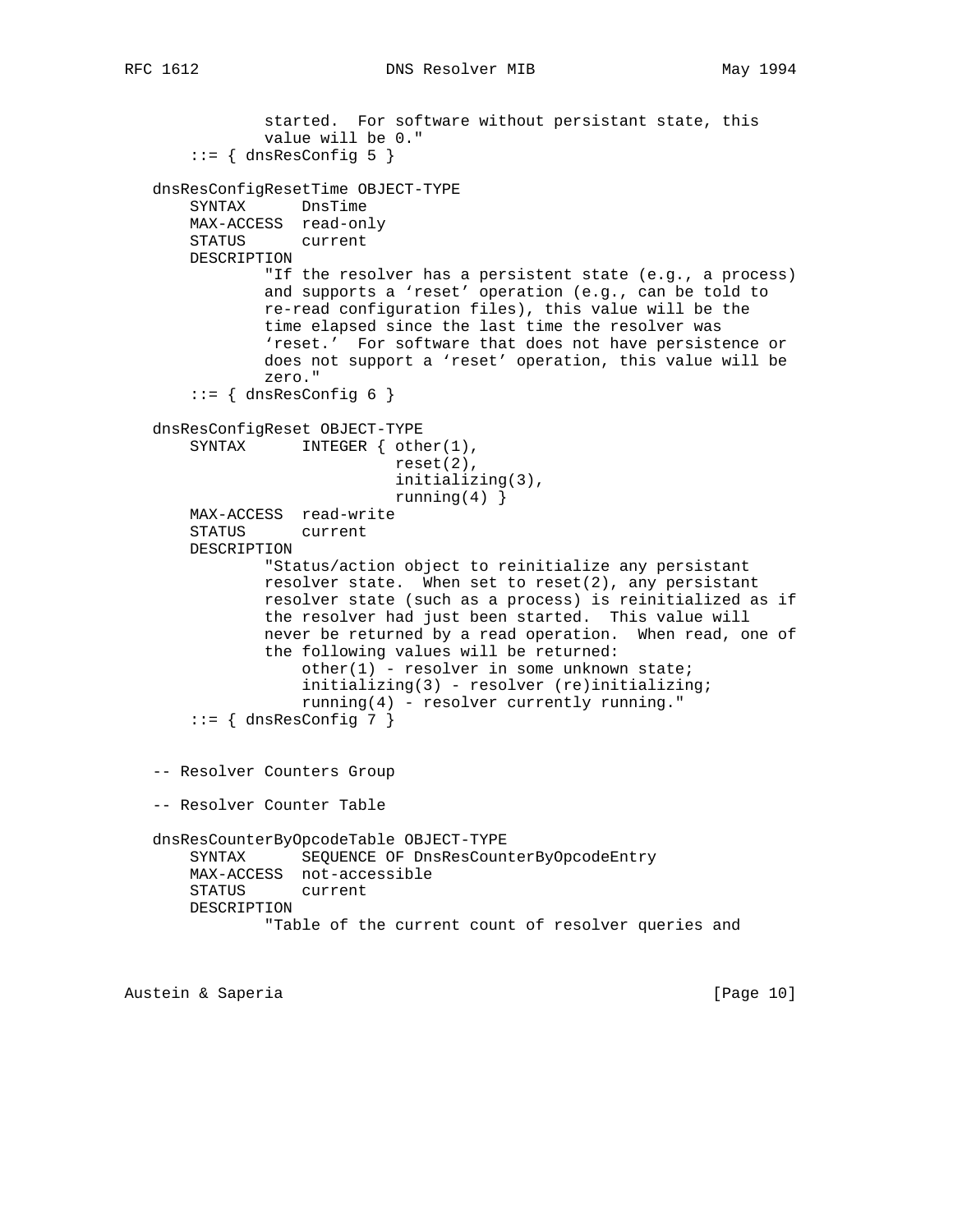```
 started. For software without persistant state, this
             value will be 0."
    ::= { dnsResConfig 5 }
 dnsResConfigResetTime OBJECT-TYPE
    SYNTAX DnsTime
    MAX-ACCESS read-only
    STATUS current
    DESCRIPTION
            "If the resolver has a persistent state (e.g., a process)
            and supports a 'reset' operation (e.g., can be told to
            re-read configuration files), this value will be the
             time elapsed since the last time the resolver was
             'reset.' For software that does not have persistence or
             does not support a 'reset' operation, this value will be
             zero."
    ::= { dnsResConfig 6 }
 dnsResConfigReset OBJECT-TYPE
   SYNTAX INTEGER { other(1),
                           reset(2),
                           initializing(3),
                         running(4) }
    MAX-ACCESS read-write
    STATUS current
    DESCRIPTION
             "Status/action object to reinitialize any persistant
             resolver state. When set to reset(2), any persistant
             resolver state (such as a process) is reinitialized as if
             the resolver had just been started. This value will
             never be returned by a read operation. When read, one of
             the following values will be returned:
                other(1) - resolver in some unknown state;
                 initializing(3) - resolver (re)initializing;
                running(4) - resolver currently running."
    ::= { dnsResConfig 7 }
 -- Resolver Counters Group
 -- Resolver Counter Table
 dnsResCounterByOpcodeTable OBJECT-TYPE
    SYNTAX SEQUENCE OF DnsResCounterByOpcodeEntry
    MAX-ACCESS not-accessible
    STATUS current
    DESCRIPTION
             "Table of the current count of resolver queries and
```
Austein & Saperia (Page 10)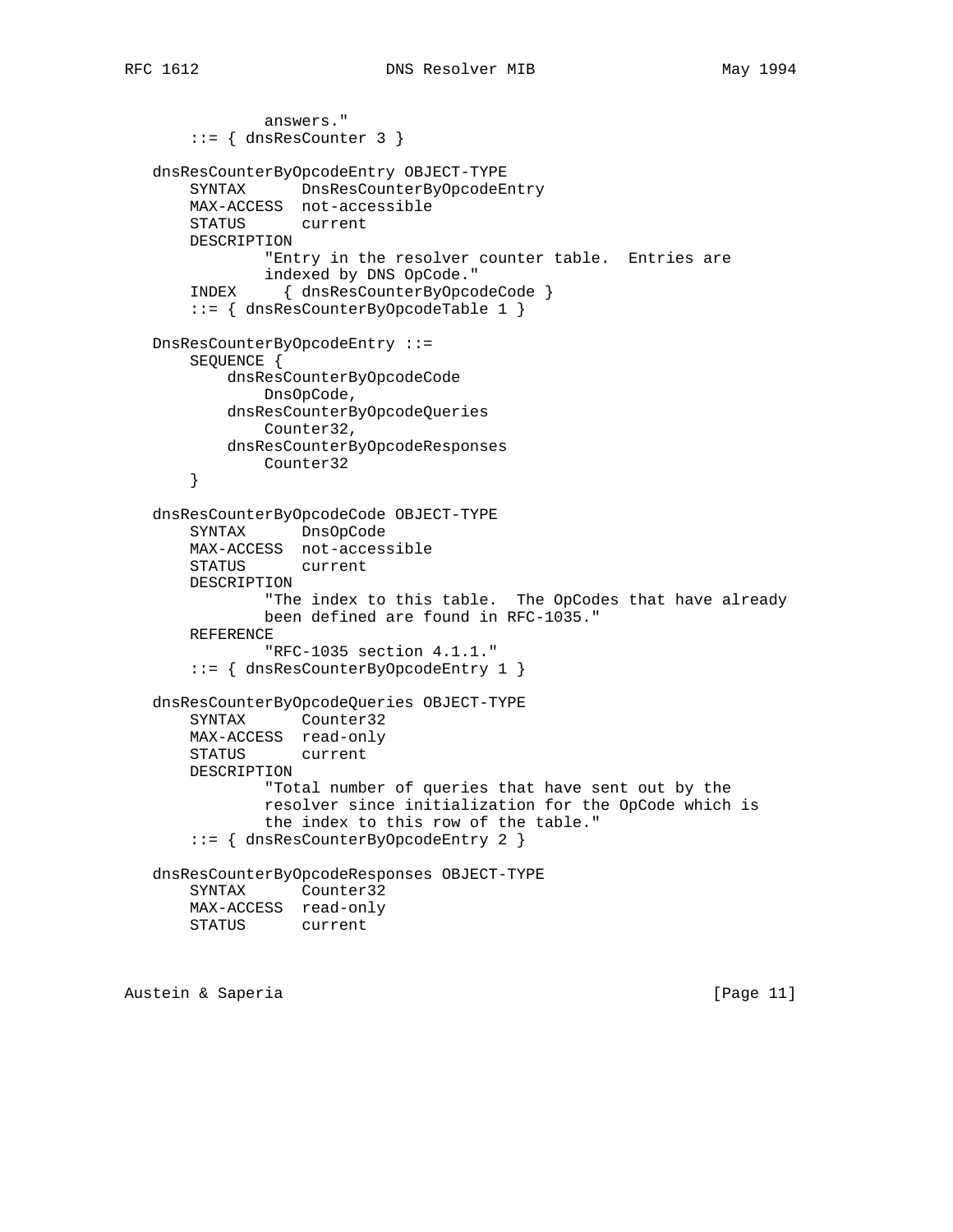answers." ::= { dnsResCounter 3 } dnsResCounterByOpcodeEntry OBJECT-TYPE SYNTAX DnsResCounterByOpcodeEntry MAX-ACCESS not-accessible STATUS current DESCRIPTION "Entry in the resolver counter table. Entries are indexed by DNS OpCode." INDEX { dnsResCounterByOpcodeCode } ::= { dnsResCounterByOpcodeTable 1 } DnsResCounterByOpcodeEntry ::= SEQUENCE { dnsResCounterByOpcodeCode DnsOpCode, dnsResCounterByOpcodeQueries Counter32, dnsResCounterByOpcodeResponses Counter32 } dnsResCounterByOpcodeCode OBJECT-TYPE SYNTAX DnsOpCode MAX-ACCESS not-accessible STATUS current DESCRIPTION "The index to this table. The OpCodes that have already been defined are found in RFC-1035." REFERENCE "RFC-1035 section 4.1.1." ::= { dnsResCounterByOpcodeEntry 1 } dnsResCounterByOpcodeQueries OBJECT-TYPE SYNTAX Counter32 MAX-ACCESS read-only STATUS current DESCRIPTION "Total number of queries that have sent out by the resolver since initialization for the OpCode which is the index to this row of the table." ::= { dnsResCounterByOpcodeEntry 2 } dnsResCounterByOpcodeResponses OBJECT-TYPE SYNTAX Counter32 MAX-ACCESS read-only STATUS current

Austein & Saperia (Page 11)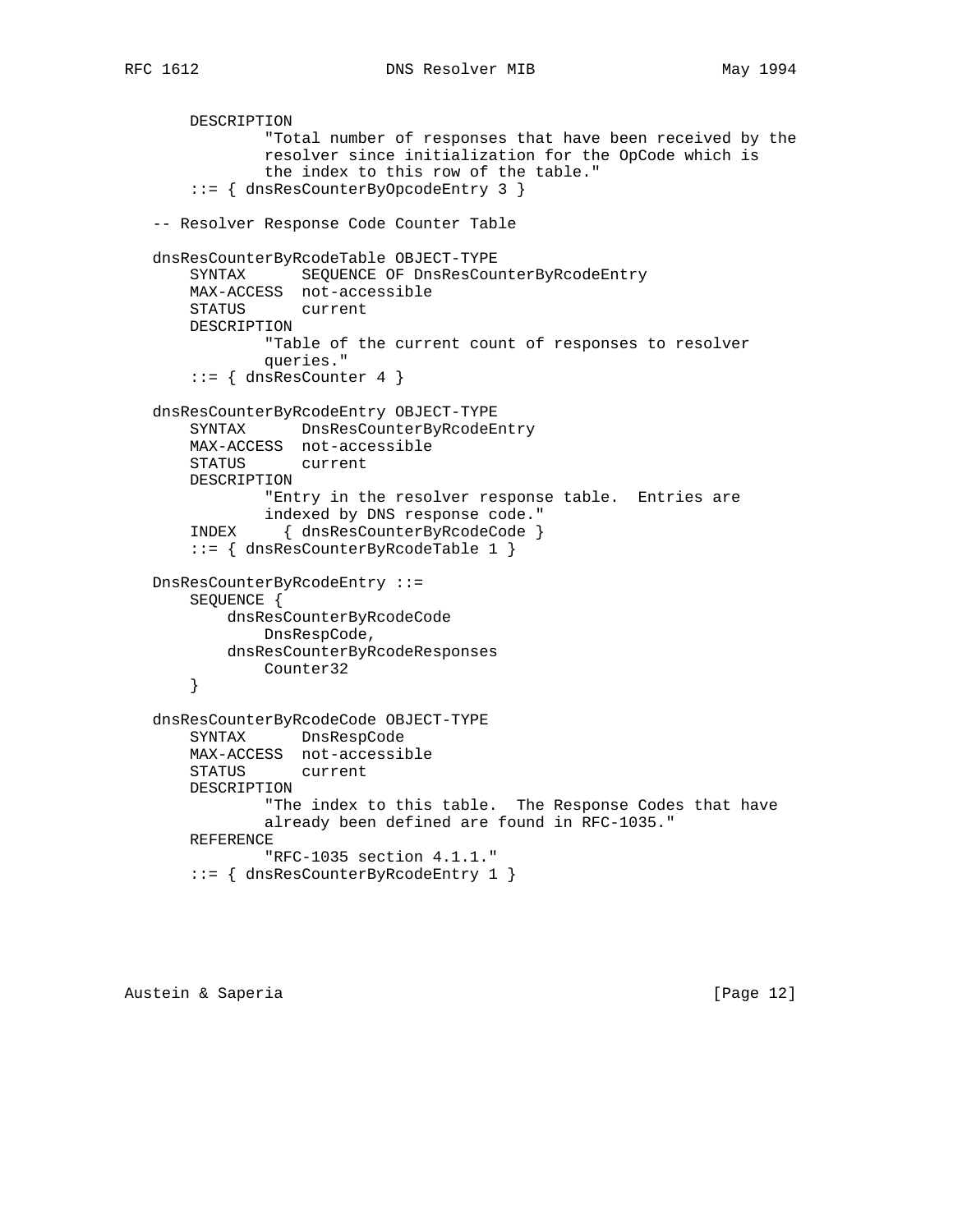DESCRIPTION

```
 "Total number of responses that have been received by the
             resolver since initialization for the OpCode which is
             the index to this row of the table."
     ::= { dnsResCounterByOpcodeEntry 3 }
 -- Resolver Response Code Counter Table
 dnsResCounterByRcodeTable OBJECT-TYPE
    SYNTAX SEQUENCE OF DnsResCounterByRcodeEntry
    MAX-ACCESS not-accessible
    STATUS current
    DESCRIPTION
            "Table of the current count of responses to resolver
             queries."
    ::= { dnsResCounter 4 }
 dnsResCounterByRcodeEntry OBJECT-TYPE
    SYNTAX DnsResCounterByRcodeEntry
    MAX-ACCESS not-accessible
    STATUS current
    DESCRIPTION
             "Entry in the resolver response table. Entries are
             indexed by DNS response code."
     INDEX { dnsResCounterByRcodeCode }
     ::= { dnsResCounterByRcodeTable 1 }
 DnsResCounterByRcodeEntry ::=
    SEQUENCE {
        dnsResCounterByRcodeCode
            DnsRespCode,
        dnsResCounterByRcodeResponses
            Counter32
     }
 dnsResCounterByRcodeCode OBJECT-TYPE
    SYNTAX DnsRespCode
    MAX-ACCESS not-accessible
    STATUS current
    DESCRIPTION
            "The index to this table. The Response Codes that have
            already been defined are found in RFC-1035."
    REFERENCE
            "RFC-1035 section 4.1.1."
     ::= { dnsResCounterByRcodeEntry 1 }
```
Austein & Saperia (Page 12)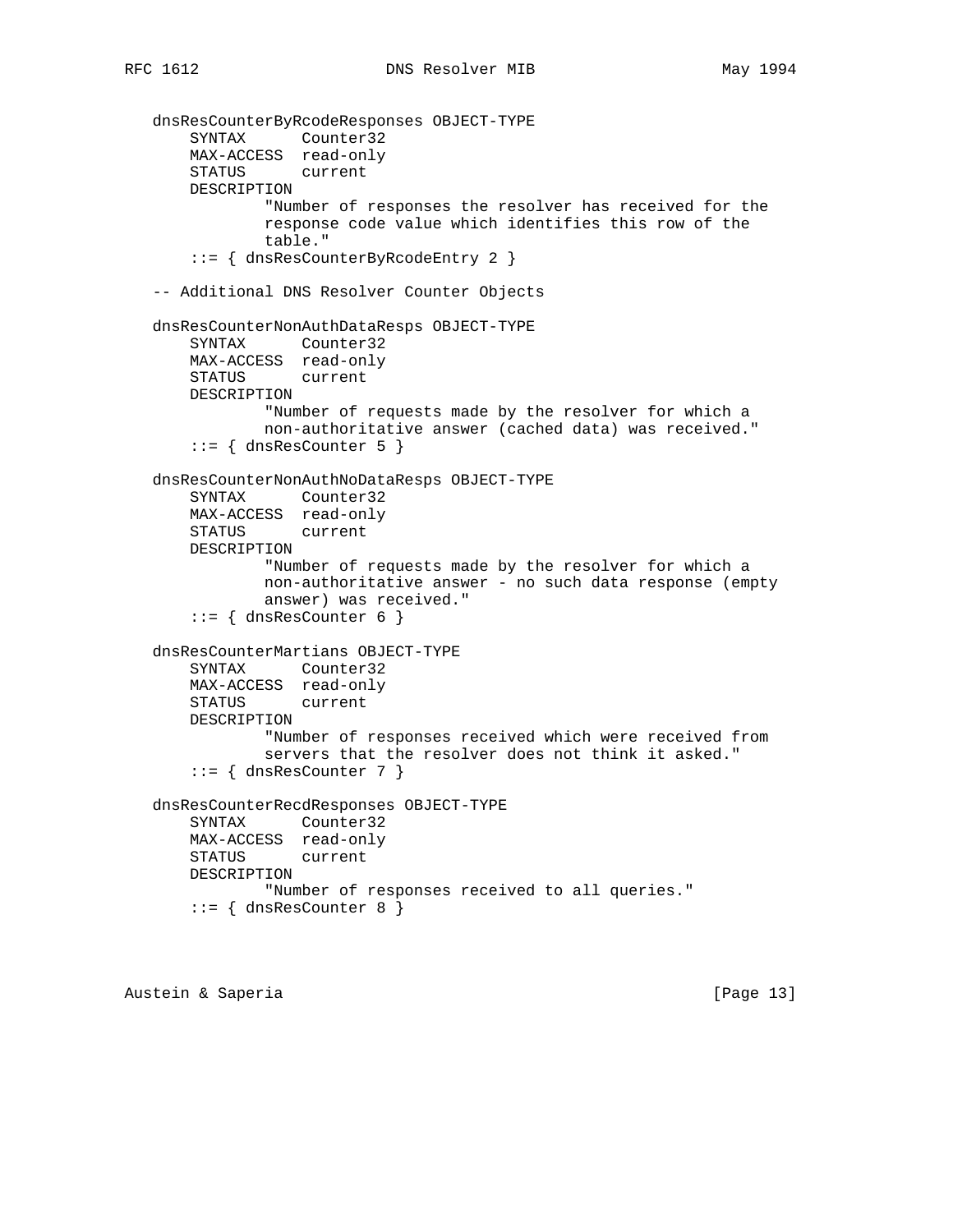```
 dnsResCounterByRcodeResponses OBJECT-TYPE
 SYNTAX Counter32
 MAX-ACCESS read-only
       STATUS current
       DESCRIPTION
               "Number of responses the resolver has received for the
               response code value which identifies this row of the
               table."
       ::= { dnsResCounterByRcodeEntry 2 }
   -- Additional DNS Resolver Counter Objects
   dnsResCounterNonAuthDataResps OBJECT-TYPE
       SYNTAX Counter32
       MAX-ACCESS read-only
       STATUS current
       DESCRIPTION
               "Number of requests made by the resolver for which a
               non-authoritative answer (cached data) was received."
      ::= { dnsResCounter 5 }
   dnsResCounterNonAuthNoDataResps OBJECT-TYPE
       SYNTAX Counter32
       MAX-ACCESS read-only
       STATUS current
       DESCRIPTION
               "Number of requests made by the resolver for which a
               non-authoritative answer - no such data response (empty
               answer) was received."
      ::= { dnsResCounter 6 }
   dnsResCounterMartians OBJECT-TYPE
       SYNTAX Counter32
       MAX-ACCESS read-only
       STATUS current
       DESCRIPTION
               "Number of responses received which were received from
               servers that the resolver does not think it asked."
      ::= { dnsResCounter 7 }
   dnsResCounterRecdResponses OBJECT-TYPE
       SYNTAX Counter32
       MAX-ACCESS read-only
       STATUS current
       DESCRIPTION
               "Number of responses received to all queries."
      ::= { dnsResCounter 8 }
```
Austein & Saperia (Page 13)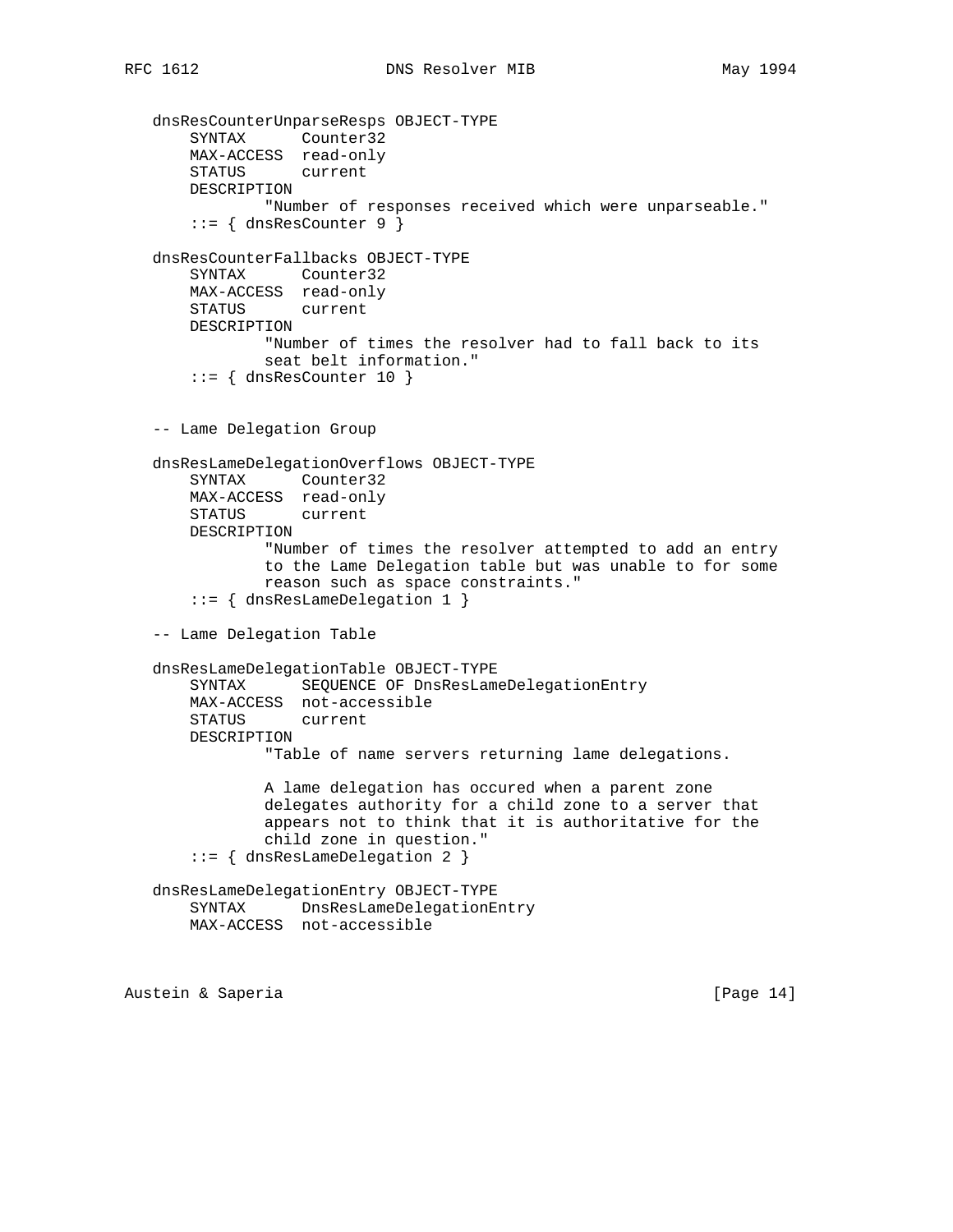```
 dnsResCounterUnparseResps OBJECT-TYPE
 SYNTAX Counter32
 MAX-ACCESS read-only
       STATUS current
       DESCRIPTION
               "Number of responses received which were unparseable."
       ::= { dnsResCounter 9 }
   dnsResCounterFallbacks OBJECT-TYPE
       SYNTAX Counter32
       MAX-ACCESS read-only
       STATUS current
       DESCRIPTION
               "Number of times the resolver had to fall back to its
               seat belt information."
      ::= { dnsResCounter 10 }
   -- Lame Delegation Group
   dnsResLameDelegationOverflows OBJECT-TYPE
       SYNTAX Counter32
       MAX-ACCESS read-only
       STATUS current
       DESCRIPTION
               "Number of times the resolver attempted to add an entry
               to the Lame Delegation table but was unable to for some
               reason such as space constraints."
       ::= { dnsResLameDelegation 1 }
   -- Lame Delegation Table
   dnsResLameDelegationTable OBJECT-TYPE
       SYNTAX SEQUENCE OF DnsResLameDelegationEntry
       MAX-ACCESS not-accessible
       STATUS current
       DESCRIPTION
               "Table of name servers returning lame delegations.
               A lame delegation has occured when a parent zone
               delegates authority for a child zone to a server that
               appears not to think that it is authoritative for the
               child zone in question."
       ::= { dnsResLameDelegation 2 }
   dnsResLameDelegationEntry OBJECT-TYPE
       SYNTAX DnsResLameDelegationEntry
       MAX-ACCESS not-accessible
```
Austein & Saperia (Page 14)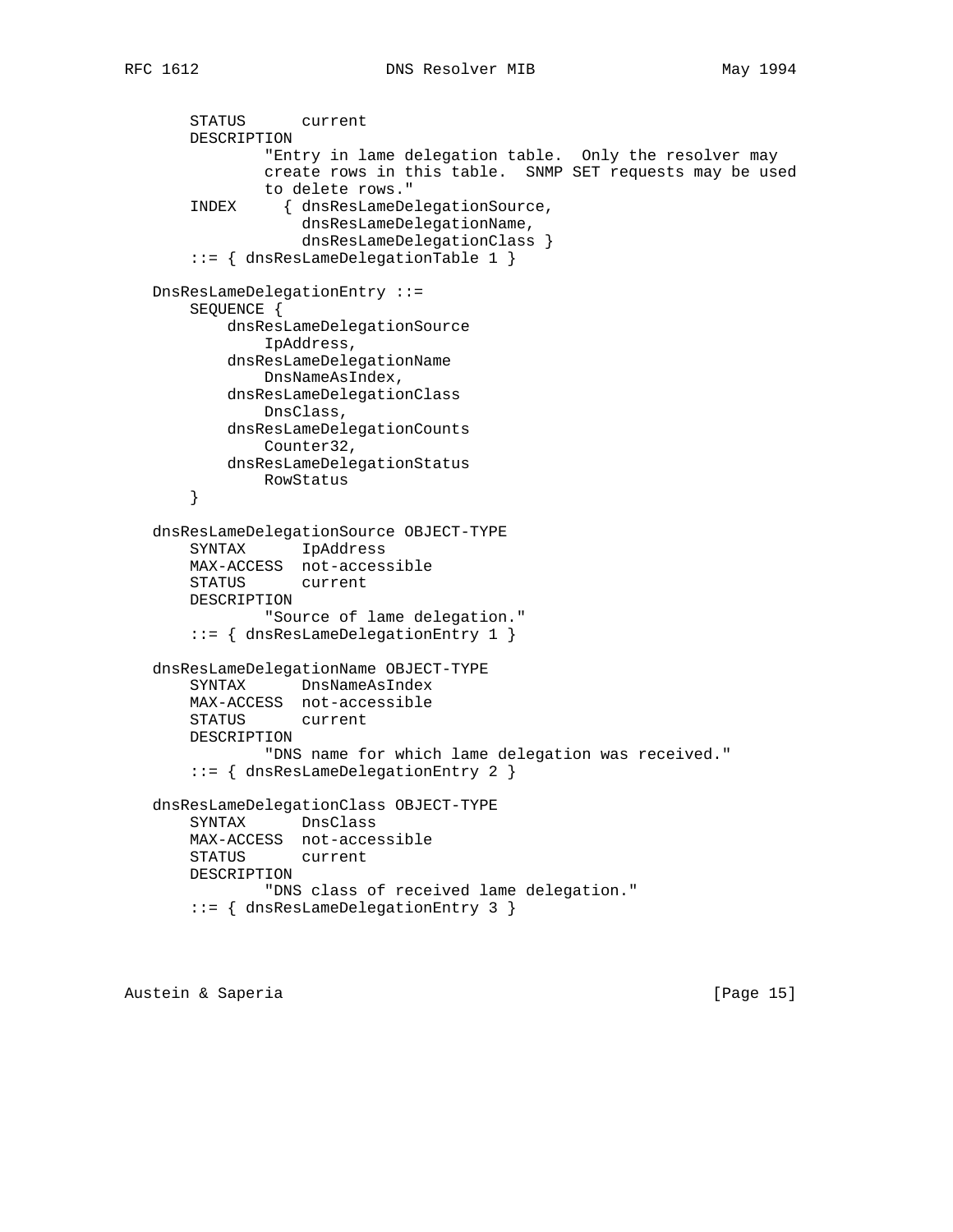```
 STATUS current
     DESCRIPTION
             "Entry in lame delegation table. Only the resolver may
             create rows in this table. SNMP SET requests may be used
             to delete rows."
     INDEX { dnsResLameDelegationSource,
                 dnsResLameDelegationName,
                 dnsResLameDelegationClass }
     ::= { dnsResLameDelegationTable 1 }
 DnsResLameDelegationEntry ::=
    SEQUENCE {
         dnsResLameDelegationSource
            IpAddress,
         dnsResLameDelegationName
            DnsNameAsIndex,
         dnsResLameDelegationClass
            DnsClass,
         dnsResLameDelegationCounts
            Counter32,
         dnsResLameDelegationStatus
            RowStatus
     }
 dnsResLameDelegationSource OBJECT-TYPE
     SYNTAX IpAddress
    MAX-ACCESS not-accessible
     STATUS current
    DESCRIPTION
             "Source of lame delegation."
     ::= { dnsResLameDelegationEntry 1 }
 dnsResLameDelegationName OBJECT-TYPE
     SYNTAX DnsNameAsIndex
    MAX-ACCESS not-accessible
    STATUS current
    DESCRIPTION
            "DNS name for which lame delegation was received."
     ::= { dnsResLameDelegationEntry 2 }
 dnsResLameDelegationClass OBJECT-TYPE
    SYNTAX DnsClass
    MAX-ACCESS not-accessible
    STATUS current
    DESCRIPTION
             "DNS class of received lame delegation."
     ::= { dnsResLameDelegationEntry 3 }
```
Austein & Saperia (Page 15)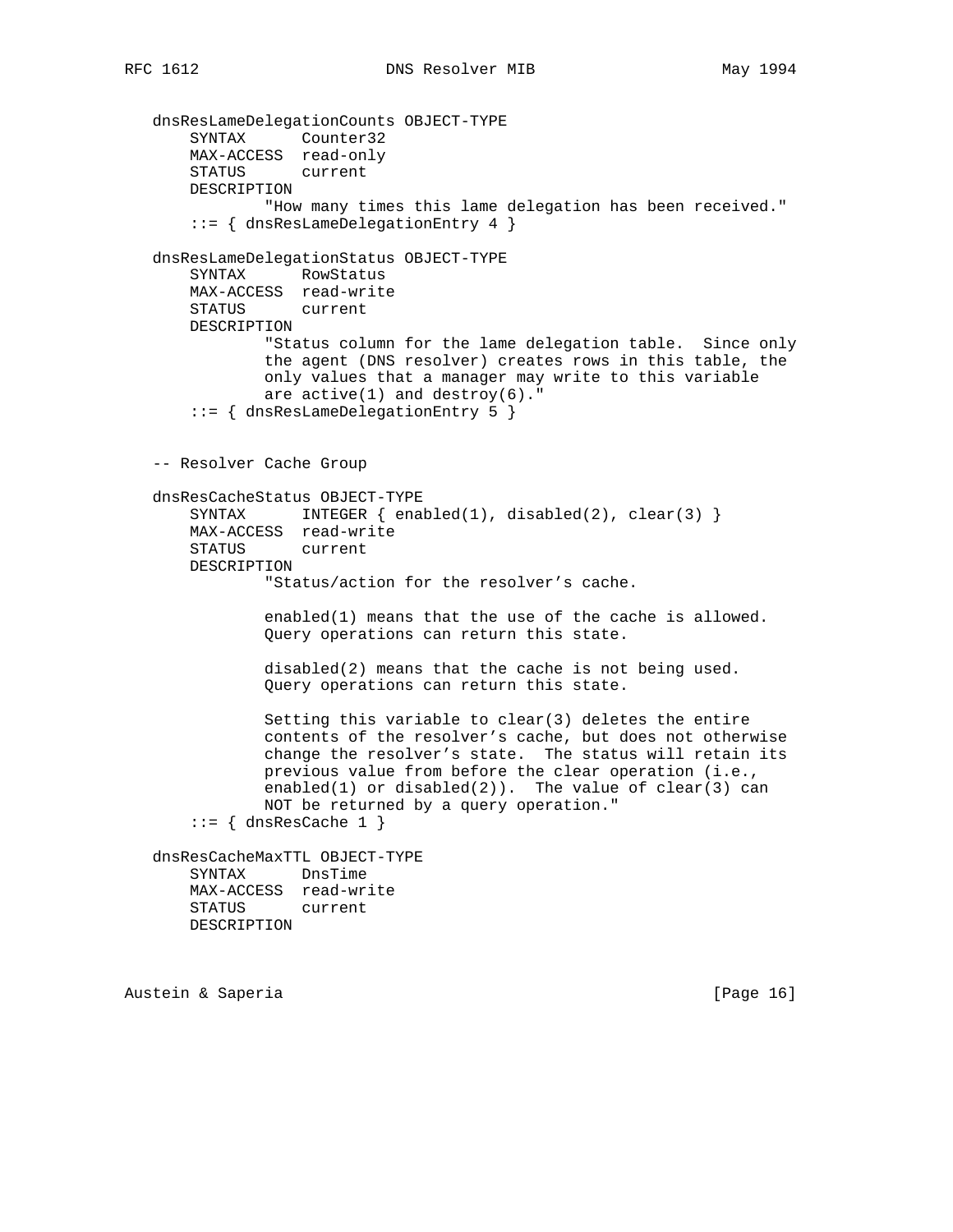dnsResLameDelegationCounts OBJECT-TYPE SYNTAX Counter32 MAX-ACCESS read-only STATUS current DESCRIPTION "How many times this lame delegation has been received." ::= { dnsResLameDelegationEntry 4 } dnsResLameDelegationStatus OBJECT-TYPE SYNTAX RowStatus MAX-ACCESS read-write STATUS current DESCRIPTION "Status column for the lame delegation table. Since only the agent (DNS resolver) creates rows in this table, the only values that a manager may write to this variable are  $active(1)$  and  $destroy(6)$ ." ::= { dnsResLameDelegationEntry 5 } -- Resolver Cache Group dnsResCacheStatus OBJECT-TYPE SYNTAX INTEGER  $\{ \text{enabeled}(1), \text{disabeled}(2), \text{clear}(3) \}$  MAX-ACCESS read-write STATUS current DESCRIPTION "Status/action for the resolver's cache. enabled(1) means that the use of the cache is allowed. Query operations can return this state. disabled(2) means that the cache is not being used. Query operations can return this state. Setting this variable to clear(3) deletes the entire contents of the resolver's cache, but does not otherwise change the resolver's state. The status will retain its previous value from before the clear operation (i.e., enabled(1) or disabled(2)). The value of clear(3) can NOT be returned by a query operation."  $::=$  { dnsResCache 1 } dnsResCacheMaxTTL OBJECT-TYPE SYNTAX DnsTime MAX-ACCESS read-write STATUS current DESCRIPTION

Austein & Saperia (Page 16)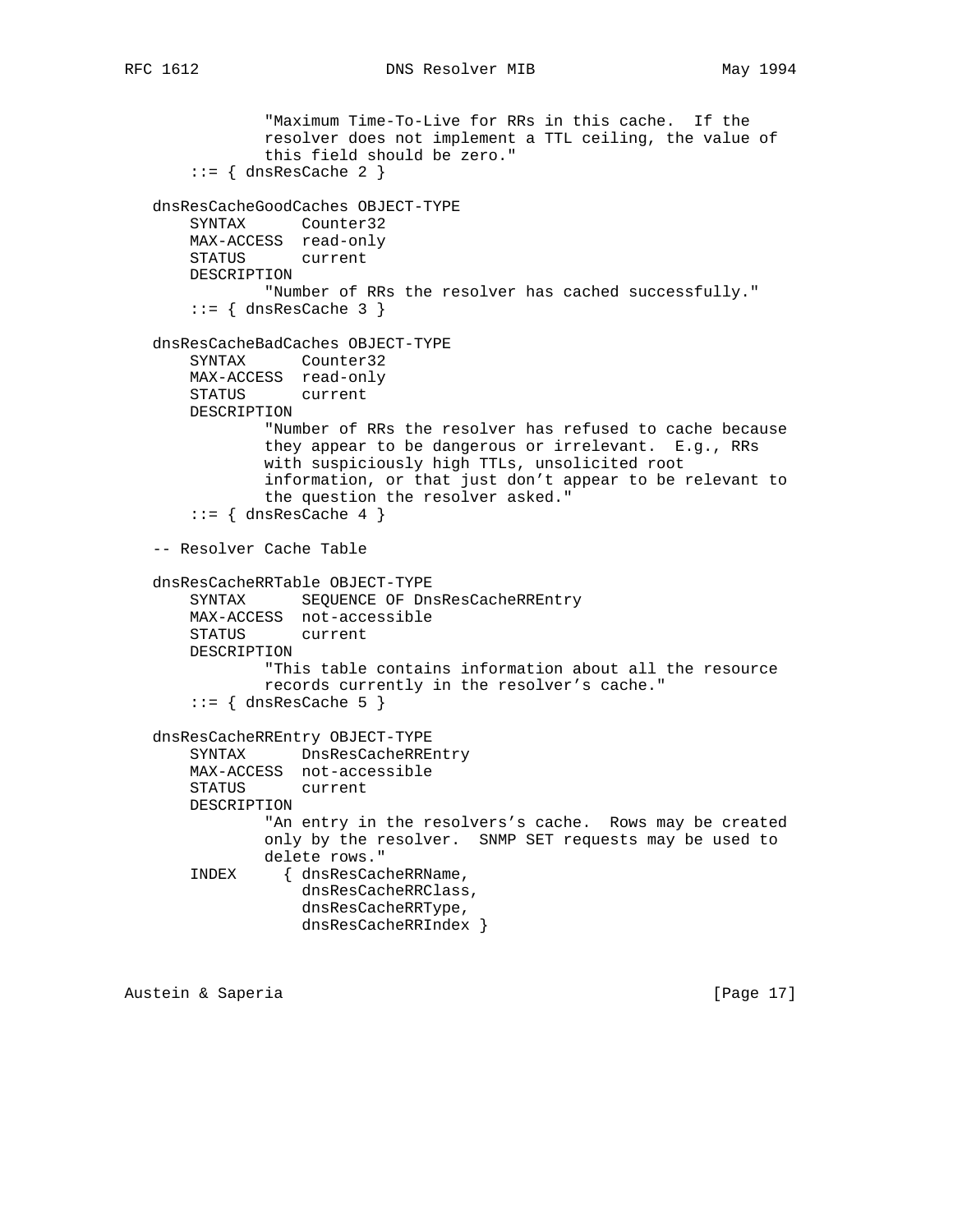```
RFC 1612 DNS Resolver MIB May 1994
```
 "Maximum Time-To-Live for RRs in this cache. If the resolver does not implement a TTL ceiling, the value of this field should be zero."  $::=$  { dnsResCache 2 } dnsResCacheGoodCaches OBJECT-TYPE SYNTAX Counter32 MAX-ACCESS read-only STATUS current DESCRIPTION "Number of RRs the resolver has cached successfully."  $::=$  { dnsResCache 3 } dnsResCacheBadCaches OBJECT-TYPE SYNTAX Counter32 MAX-ACCESS read-only STATUS current DESCRIPTION "Number of RRs the resolver has refused to cache because they appear to be dangerous or irrelevant. E.g., RRs with suspiciously high TTLs, unsolicited root information, or that just don't appear to be relevant to the question the resolver asked."  $::=$  { dnsResCache 4 } -- Resolver Cache Table dnsResCacheRRTable OBJECT-TYPE SYNTAX SEQUENCE OF DnsResCacheRREntry MAX-ACCESS not-accessible STATUS current DESCRIPTION "This table contains information about all the resource records currently in the resolver's cache."  $::=$  { dnsResCache 5 } dnsResCacheRREntry OBJECT-TYPE SYNTAX DnsResCacheRREntry MAX-ACCESS not-accessible STATUS current DESCRIPTION "An entry in the resolvers's cache. Rows may be created only by the resolver. SNMP SET requests may be used to delete rows." INDEX { dnsResCacheRRName, dnsResCacheRRClass, dnsResCacheRRType, dnsResCacheRRIndex }

Austein & Saperia (Page 17)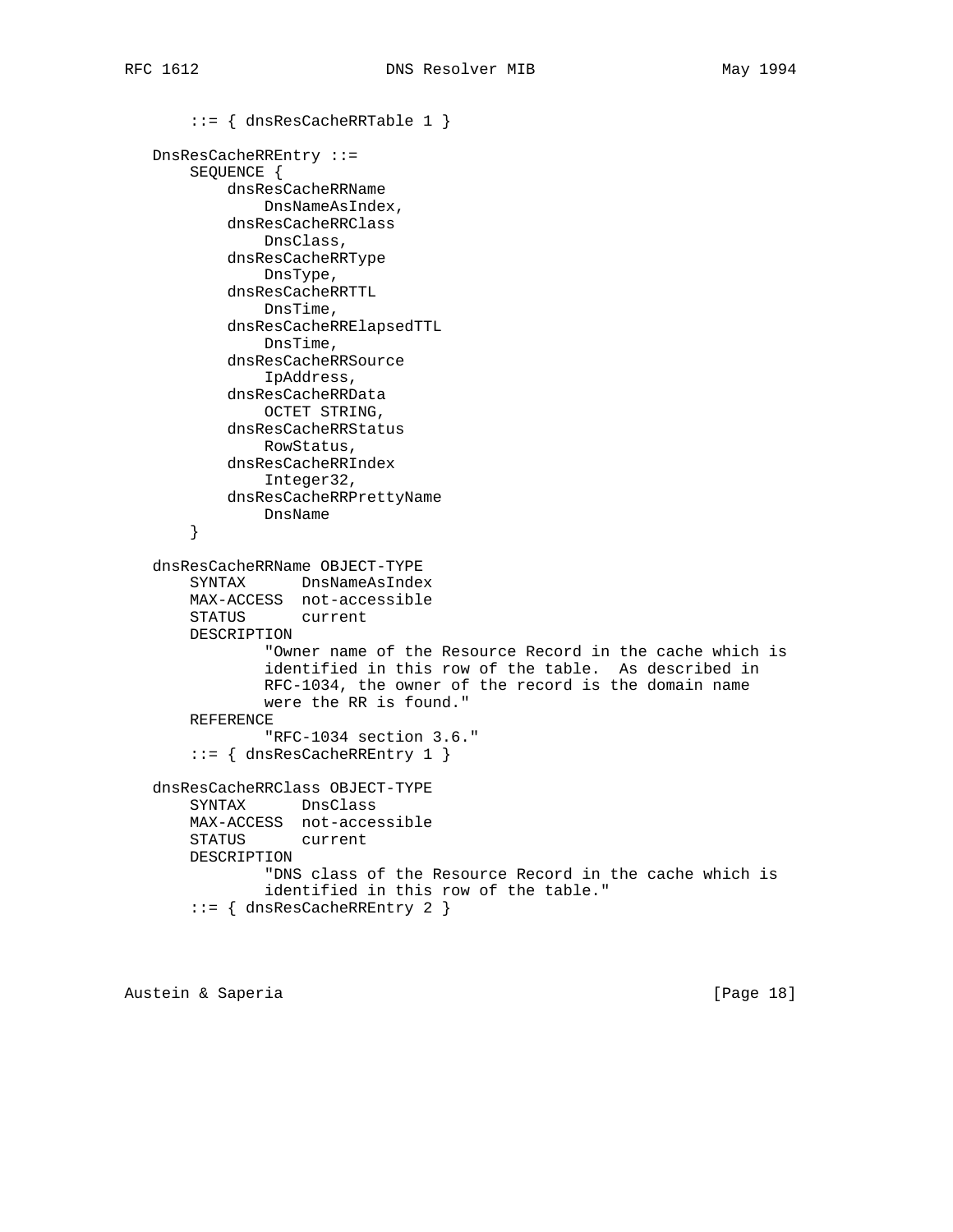::= { dnsResCacheRRTable 1 }

```
 DnsResCacheRREntry ::=
    SEQUENCE {
         dnsResCacheRRName
            DnsNameAsIndex,
         dnsResCacheRRClass
            DnsClass,
         dnsResCacheRRType
            DnsType,
         dnsResCacheRRTTL
            DnsTime,
         dnsResCacheRRElapsedTTL
            DnsTime,
         dnsResCacheRRSource
            IpAddress,
         dnsResCacheRRData
            OCTET STRING,
         dnsResCacheRRStatus
            RowStatus,
         dnsResCacheRRIndex
            Integer32,
         dnsResCacheRRPrettyName
            DnsName
     }
 dnsResCacheRRName OBJECT-TYPE
     SYNTAX DnsNameAsIndex
    MAX-ACCESS not-accessible
    STATUS current
    DESCRIPTION
             "Owner name of the Resource Record in the cache which is
             identified in this row of the table. As described in
            RFC-1034, the owner of the record is the domain name
            were the RR is found."
     REFERENCE
             "RFC-1034 section 3.6."
     ::= { dnsResCacheRREntry 1 }
 dnsResCacheRRClass OBJECT-TYPE
    SYNTAX DnsClass
    MAX-ACCESS not-accessible
    STATUS current
    DESCRIPTION
             "DNS class of the Resource Record in the cache which is
             identified in this row of the table."
     ::= { dnsResCacheRREntry 2 }
```
Austein & Saperia (Page 18)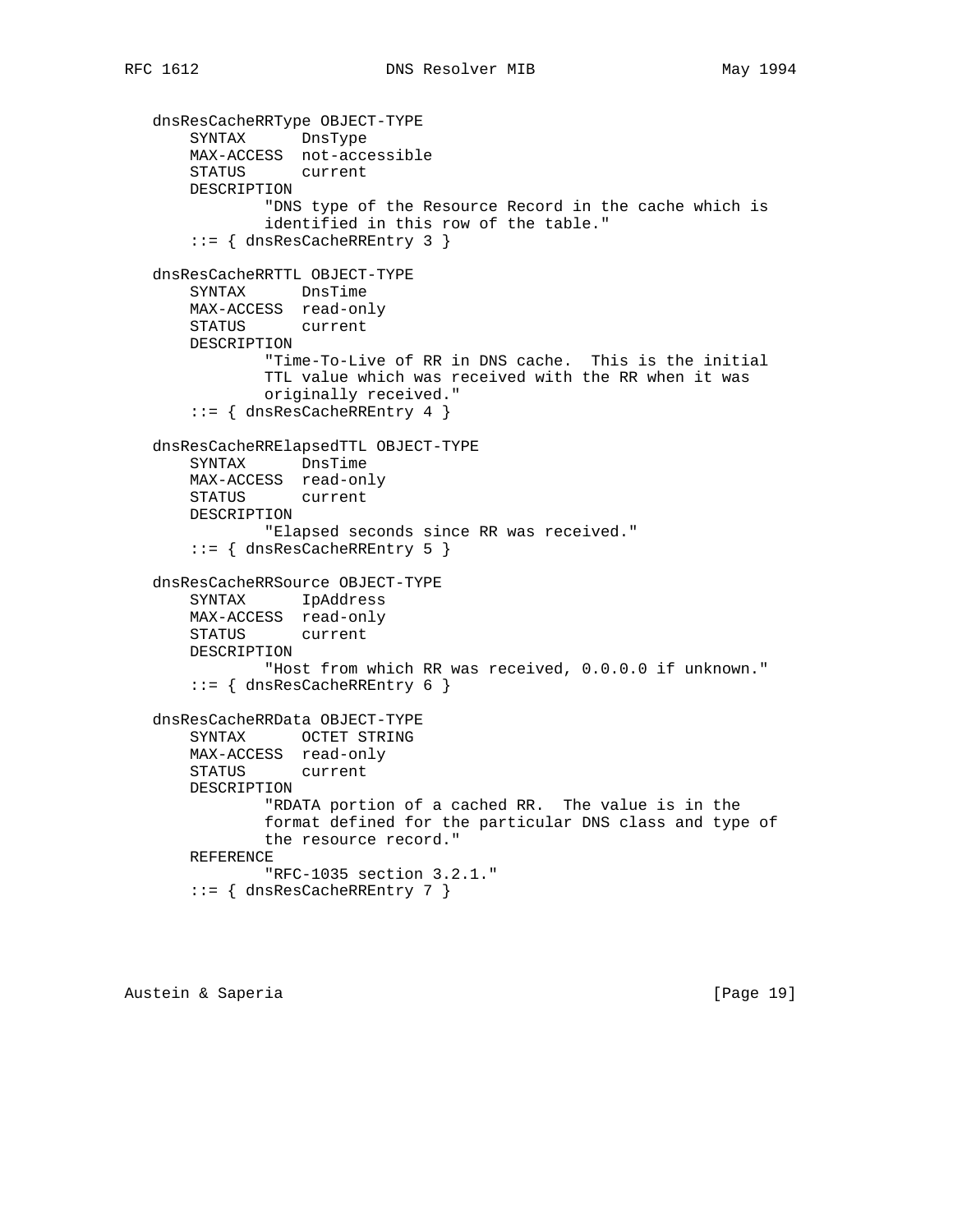```
 dnsResCacheRRType OBJECT-TYPE
 SYNTAX DnsType
 MAX-ACCESS not-accessible
       STATUS current
       DESCRIPTION
               "DNS type of the Resource Record in the cache which is
               identified in this row of the table."
       ::= { dnsResCacheRREntry 3 }
   dnsResCacheRRTTL OBJECT-TYPE
       SYNTAX DnsTime
       MAX-ACCESS read-only
       STATUS current
       DESCRIPTION
               "Time-To-Live of RR in DNS cache. This is the initial
               TTL value which was received with the RR when it was
               originally received."
       ::= { dnsResCacheRREntry 4 }
   dnsResCacheRRElapsedTTL OBJECT-TYPE
       SYNTAX DnsTime
       MAX-ACCESS read-only
       STATUS current
       DESCRIPTION
               "Elapsed seconds since RR was received."
       ::= { dnsResCacheRREntry 5 }
   dnsResCacheRRSource OBJECT-TYPE
       SYNTAX IpAddress
       MAX-ACCESS read-only
       STATUS current
       DESCRIPTION
               "Host from which RR was received, 0.0.0.0 if unknown."
       ::= { dnsResCacheRREntry 6 }
   dnsResCacheRRData OBJECT-TYPE
       SYNTAX OCTET STRING
       MAX-ACCESS read-only
       STATUS current
       DESCRIPTION
               "RDATA portion of a cached RR. The value is in the
               format defined for the particular DNS class and type of
               the resource record."
       REFERENCE
               "RFC-1035 section 3.2.1."
       ::= { dnsResCacheRREntry 7 }
```
Austein & Saperia (Page 19)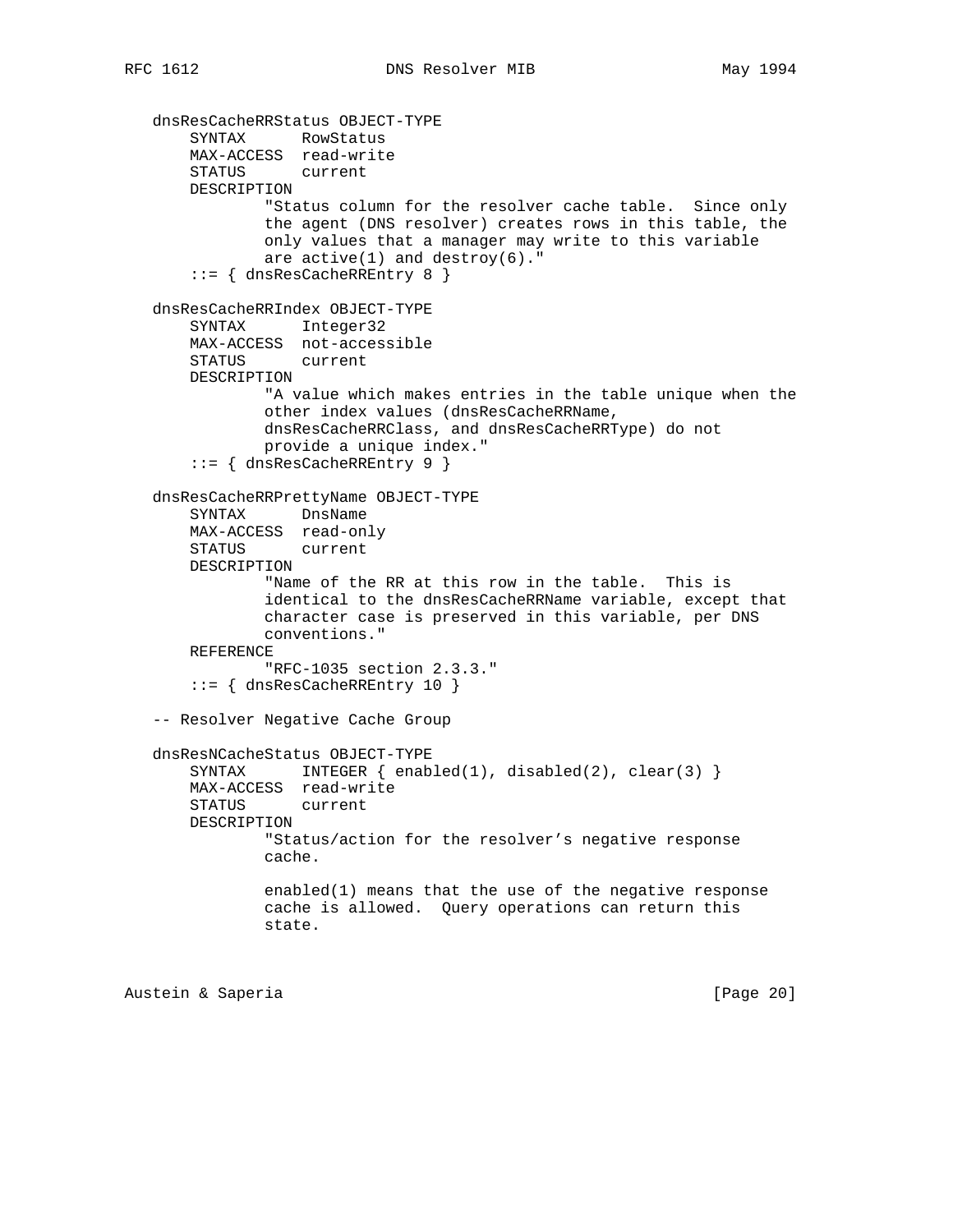```
 dnsResCacheRRStatus OBJECT-TYPE
 SYNTAX RowStatus
 MAX-ACCESS read-write
       STATUS current
       DESCRIPTION
               "Status column for the resolver cache table. Since only
               the agent (DNS resolver) creates rows in this table, the
               only values that a manager may write to this variable
              are active(1) and destroy(6)."
       ::= { dnsResCacheRREntry 8 }
   dnsResCacheRRIndex OBJECT-TYPE
       SYNTAX Integer32
       MAX-ACCESS not-accessible
       STATUS current
       DESCRIPTION
               "A value which makes entries in the table unique when the
               other index values (dnsResCacheRRName,
               dnsResCacheRRClass, and dnsResCacheRRType) do not
               provide a unique index."
       ::= { dnsResCacheRREntry 9 }
   dnsResCacheRRPrettyName OBJECT-TYPE
       SYNTAX DnsName
       MAX-ACCESS read-only
       STATUS current
       DESCRIPTION
               "Name of the RR at this row in the table. This is
               identical to the dnsResCacheRRName variable, except that
               character case is preserved in this variable, per DNS
               conventions."
       REFERENCE
               "RFC-1035 section 2.3.3."
       ::= { dnsResCacheRREntry 10 }
   -- Resolver Negative Cache Group
   dnsResNCacheStatus OBJECT-TYPE
      SYNTAX INTEGER { enabled(1), disabled(2), clear(3) }
       MAX-ACCESS read-write
       STATUS current
       DESCRIPTION
               "Status/action for the resolver's negative response
               cache.
               enabled(1) means that the use of the negative response
               cache is allowed. Query operations can return this
               state.
```
Austein & Saperia (Page 20)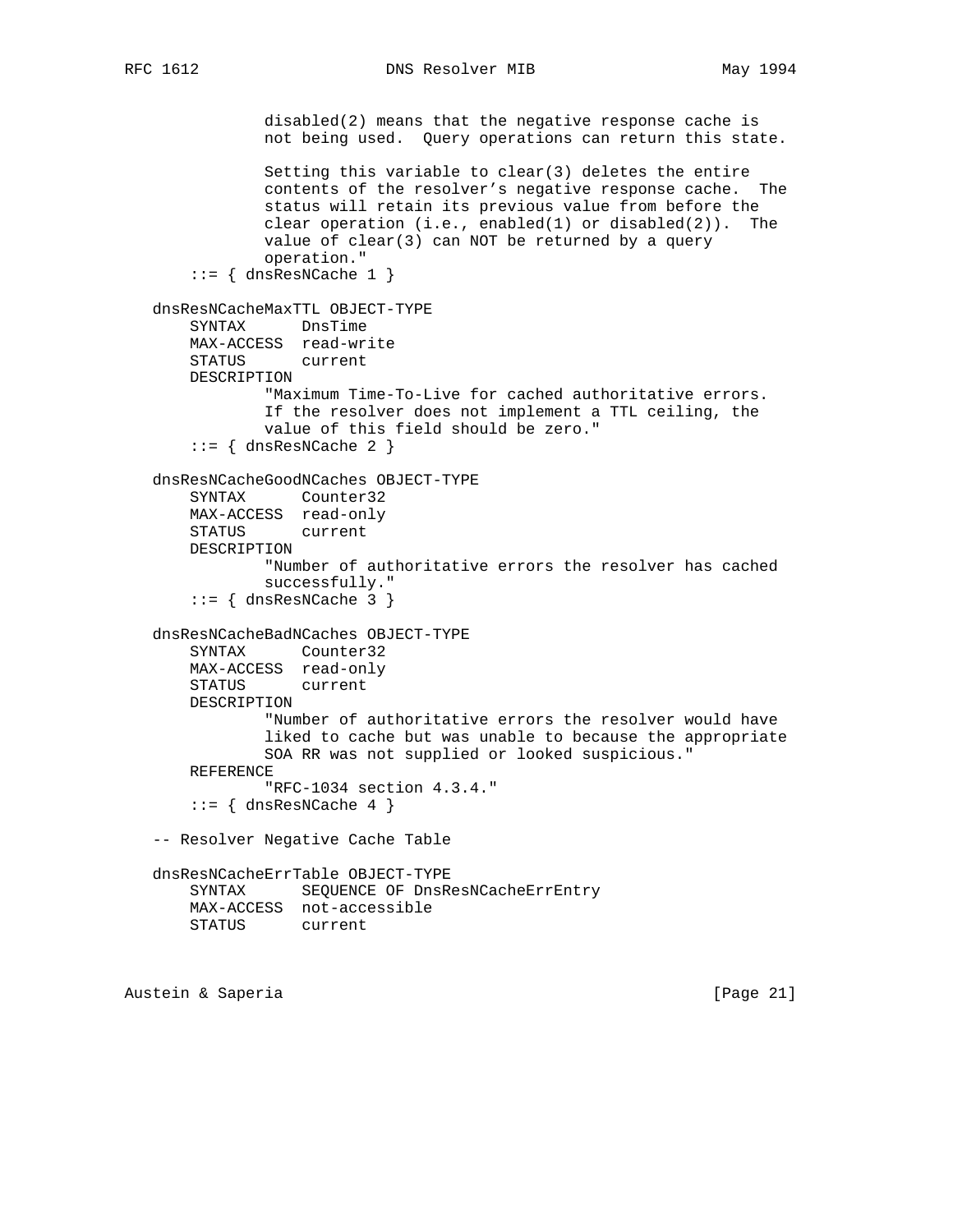RFC 1612 DNS Resolver MIB May 1994

```
 disabled(2) means that the negative response cache is
            not being used. Query operations can return this state.
             Setting this variable to clear(3) deletes the entire
             contents of the resolver's negative response cache. The
             status will retain its previous value from before the
            clear operation (i.e., enabled(1) or disabled(2)). The
            value of clear(3) can NOT be returned by a query
            operation."
    ::= { dnsResNCache 1 }
 dnsResNCacheMaxTTL OBJECT-TYPE
    SYNTAX DnsTime
    MAX-ACCESS read-write
    STATUS current
    DESCRIPTION
             "Maximum Time-To-Live for cached authoritative errors.
             If the resolver does not implement a TTL ceiling, the
            value of this field should be zero."
    ::= { dnsResNCache 2 }
 dnsResNCacheGoodNCaches OBJECT-TYPE
    SYNTAX Counter32
    MAX-ACCESS read-only
    STATUS current
    DESCRIPTION
             "Number of authoritative errors the resolver has cached
             successfully."
    ::= { dnsResNCache 3 }
 dnsResNCacheBadNCaches OBJECT-TYPE
    SYNTAX Counter32
    MAX-ACCESS read-only
    STATUS current
    DESCRIPTION
             "Number of authoritative errors the resolver would have
             liked to cache but was unable to because the appropriate
            SOA RR was not supplied or looked suspicious."
    REFERENCE
            "RFC-1034 section 4.3.4."
    ::= { dnsResNCache 4 }
 -- Resolver Negative Cache Table
 dnsResNCacheErrTable OBJECT-TYPE
    SYNTAX SEQUENCE OF DnsResNCacheErrEntry
    MAX-ACCESS not-accessible
    STATUS current
```
Austein & Saperia **by Carlos** [Page 21]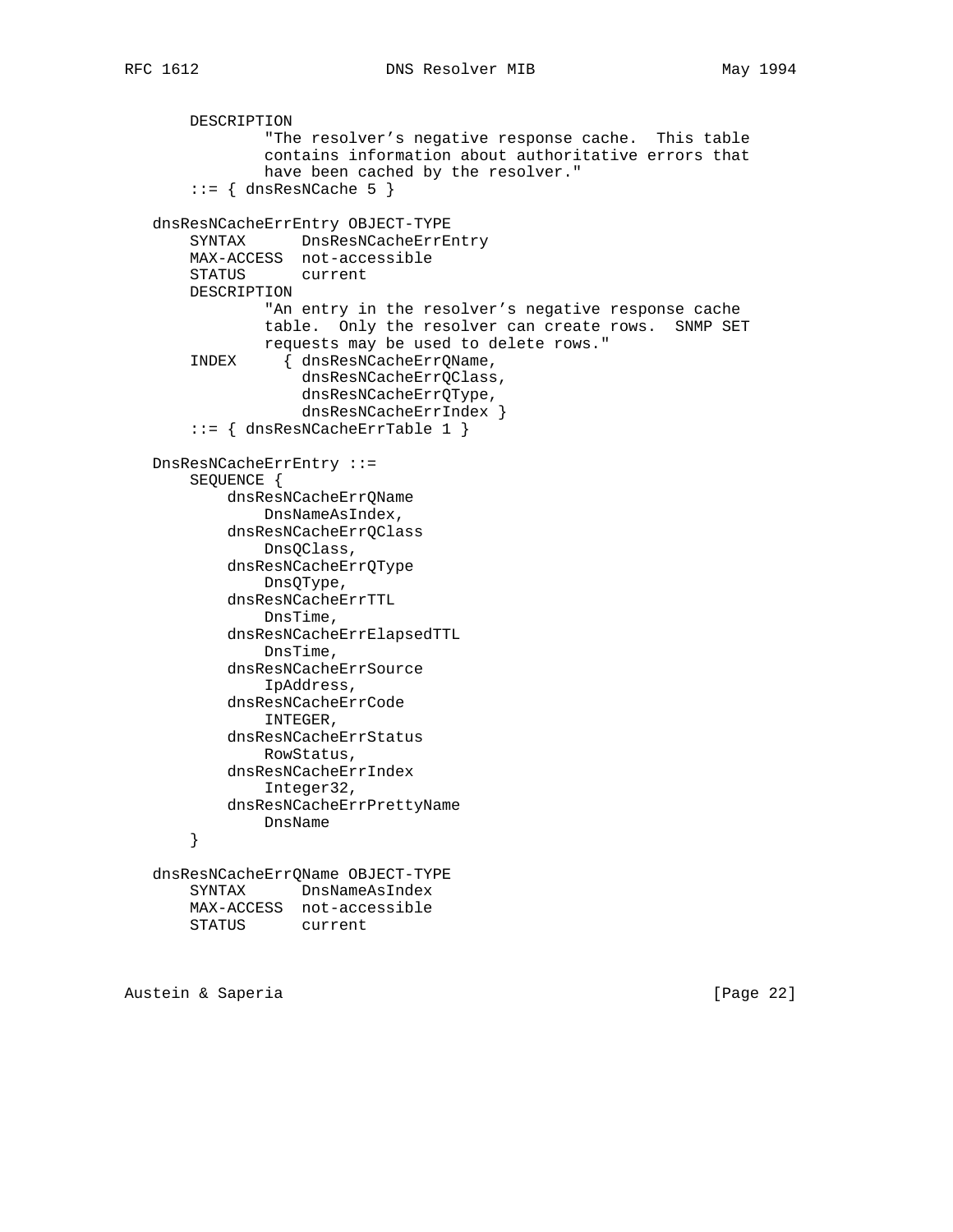```
 DESCRIPTION
             "The resolver's negative response cache. This table
             contains information about authoritative errors that
             have been cached by the resolver."
    ::= { dnsResNCache 5 }
 dnsResNCacheErrEntry OBJECT-TYPE
    SYNTAX DnsResNCacheErrEntry
    MAX-ACCESS not-accessible
    STATUS current
    DESCRIPTION
             "An entry in the resolver's negative response cache
             table. Only the resolver can create rows. SNMP SET
             requests may be used to delete rows."
     INDEX { dnsResNCacheErrQName,
                 dnsResNCacheErrQClass,
                 dnsResNCacheErrQType,
                 dnsResNCacheErrIndex }
     ::= { dnsResNCacheErrTable 1 }
 DnsResNCacheErrEntry ::=
     SEQUENCE {
         dnsResNCacheErrQName
            DnsNameAsIndex,
         dnsResNCacheErrQClass
            DnsQClass,
         dnsResNCacheErrQType
             DnsQType,
         dnsResNCacheErrTTL
             DnsTime,
         dnsResNCacheErrElapsedTTL
            DnsTime,
         dnsResNCacheErrSource
            IpAddress,
         dnsResNCacheErrCode
            INTEGER,
         dnsResNCacheErrStatus
            RowStatus,
         dnsResNCacheErrIndex
            Integer32,
         dnsResNCacheErrPrettyName
           DnsName
     }
 dnsResNCacheErrQName OBJECT-TYPE
    SYNTAX DnsNameAsIndex
    MAX-ACCESS not-accessible
```

```
 STATUS current
```
Austein & Saperia (Page 22)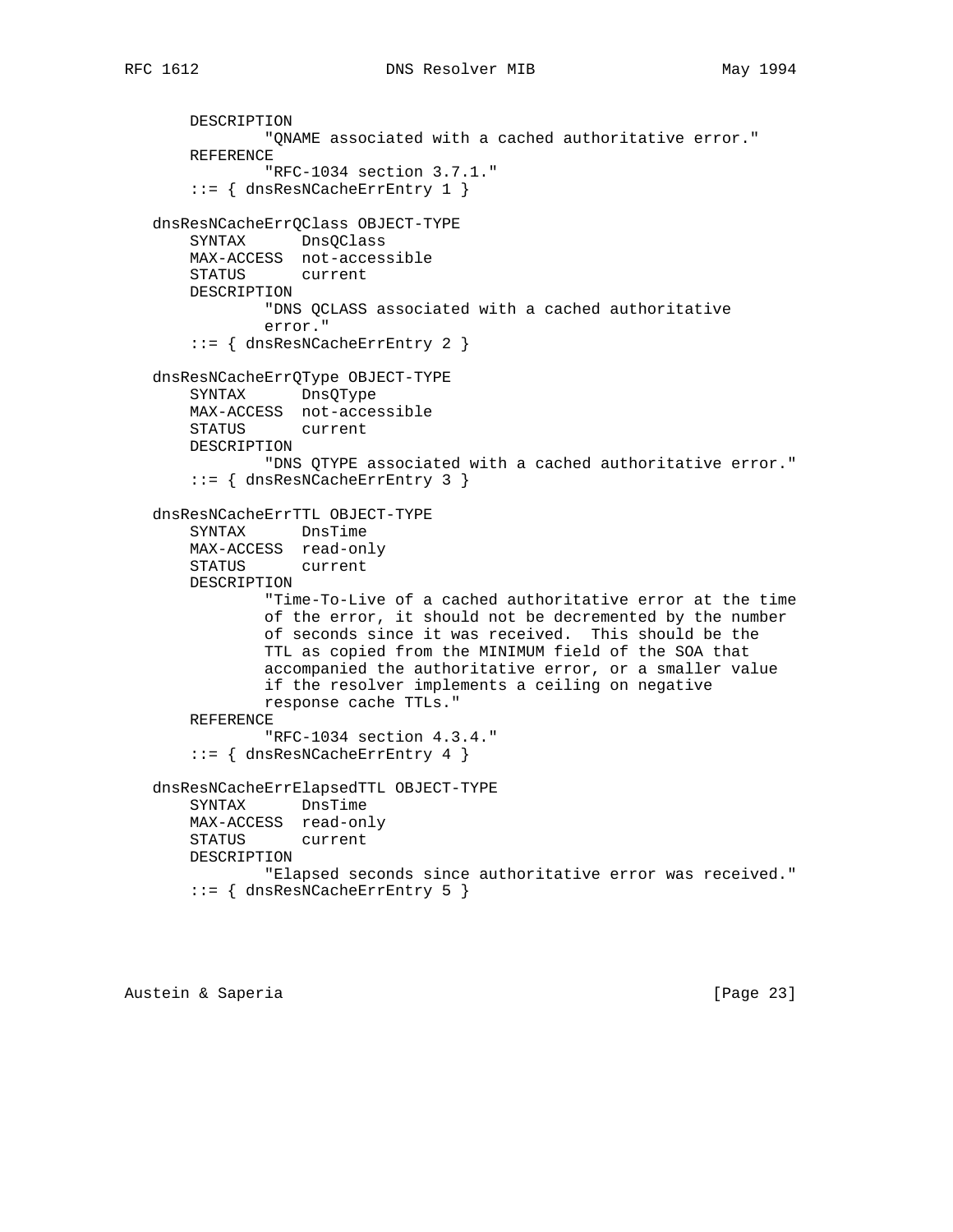```
 DESCRIPTION
            "QNAME associated with a cached authoritative error."
    REFERENCE
             "RFC-1034 section 3.7.1."
     ::= { dnsResNCacheErrEntry 1 }
 dnsResNCacheErrQClass OBJECT-TYPE
    SYNTAX DnsQClass
    MAX-ACCESS not-accessible
    STATUS current
    DESCRIPTION
            "DNS QCLASS associated with a cached authoritative
            error."
     ::= { dnsResNCacheErrEntry 2 }
 dnsResNCacheErrQType OBJECT-TYPE
    SYNTAX DnsQType
    MAX-ACCESS not-accessible
    STATUS current
    DESCRIPTION
             "DNS QTYPE associated with a cached authoritative error."
     ::= { dnsResNCacheErrEntry 3 }
 dnsResNCacheErrTTL OBJECT-TYPE
    SYNTAX DnsTime
    MAX-ACCESS read-only
    STATUS current
    DESCRIPTION
             "Time-To-Live of a cached authoritative error at the time
             of the error, it should not be decremented by the number
            of seconds since it was received. This should be the
            TTL as copied from the MINIMUM field of the SOA that
             accompanied the authoritative error, or a smaller value
            if the resolver implements a ceiling on negative
            response cache TTLs."
    REFERENCE
             "RFC-1034 section 4.3.4."
     ::= { dnsResNCacheErrEntry 4 }
 dnsResNCacheErrElapsedTTL OBJECT-TYPE
    SYNTAX DnsTime
    MAX-ACCESS read-only
    STATUS current
    DESCRIPTION
            "Elapsed seconds since authoritative error was received."
     ::= { dnsResNCacheErrEntry 5 }
```
Austein & Saperia (Page 23)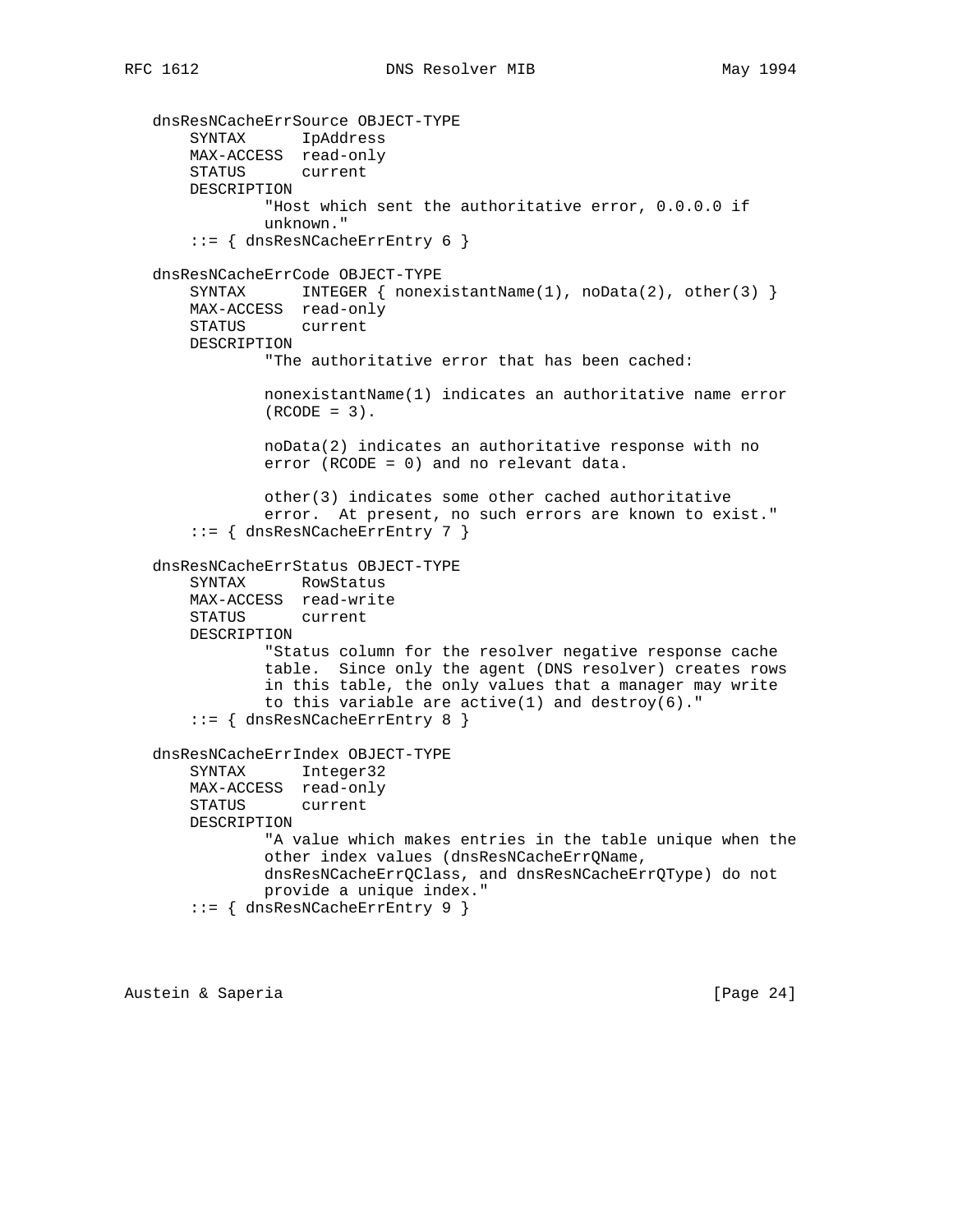```
 dnsResNCacheErrSource OBJECT-TYPE
 SYNTAX IpAddress
 MAX-ACCESS read-only
       STATUS current
       DESCRIPTION
               "Host which sent the authoritative error, 0.0.0.0 if
               unknown."
       ::= { dnsResNCacheErrEntry 6 }
   dnsResNCacheErrCode OBJECT-TYPE
      SYNTAX INTEGER { nonexistantName(1), noData(2), other(3) }
       MAX-ACCESS read-only
       STATUS current
       DESCRIPTION
               "The authoritative error that has been cached:
               nonexistantName(1) indicates an authoritative name error
              (RCODE = 3).
               noData(2) indicates an authoritative response with no
               error (RCODE = 0) and no relevant data.
               other(3) indicates some other cached authoritative
               error. At present, no such errors are known to exist."
       ::= { dnsResNCacheErrEntry 7 }
   dnsResNCacheErrStatus OBJECT-TYPE
       SYNTAX RowStatus
       MAX-ACCESS read-write
       STATUS current
       DESCRIPTION
               "Status column for the resolver negative response cache
               table. Since only the agent (DNS resolver) creates rows
               in this table, the only values that a manager may write
              to this variable are active(1) and destroy(6)."
       ::= { dnsResNCacheErrEntry 8 }
   dnsResNCacheErrIndex OBJECT-TYPE
       SYNTAX Integer32
       MAX-ACCESS read-only
       STATUS current
       DESCRIPTION
               "A value which makes entries in the table unique when the
               other index values (dnsResNCacheErrQName,
               dnsResNCacheErrQClass, and dnsResNCacheErrQType) do not
               provide a unique index."
       ::= { dnsResNCacheErrEntry 9 }
```
Austein & Saperia **business** [Page 24]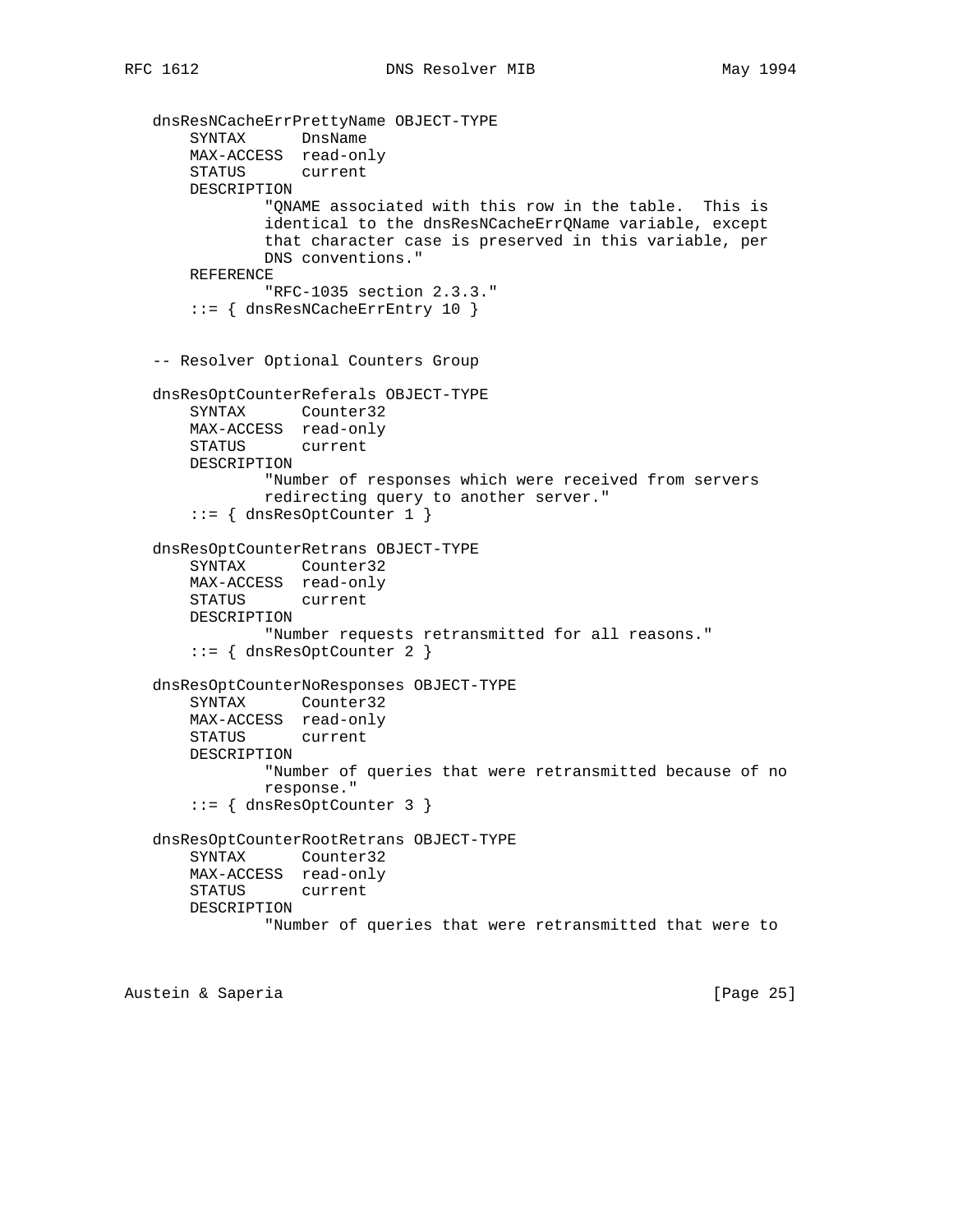```
 dnsResNCacheErrPrettyName OBJECT-TYPE
       SYNTAX DnsName
       MAX-ACCESS read-only
       STATUS current
       DESCRIPTION
               "QNAME associated with this row in the table. This is
               identical to the dnsResNCacheErrQName variable, except
               that character case is preserved in this variable, per
               DNS conventions."
       REFERENCE
               "RFC-1035 section 2.3.3."
       ::= { dnsResNCacheErrEntry 10 }
   -- Resolver Optional Counters Group
   dnsResOptCounterReferals OBJECT-TYPE
       SYNTAX Counter32
       MAX-ACCESS read-only
       STATUS current
       DESCRIPTION
               "Number of responses which were received from servers
               redirecting query to another server."
       ::= { dnsResOptCounter 1 }
   dnsResOptCounterRetrans OBJECT-TYPE
 SYNTAX Counter32
 MAX-ACCESS read-only
       STATUS current
       DESCRIPTION
               "Number requests retransmitted for all reasons."
      ::= { dnsResOptCounter 2 }
   dnsResOptCounterNoResponses OBJECT-TYPE
       SYNTAX Counter32
       MAX-ACCESS read-only
       STATUS current
       DESCRIPTION
               "Number of queries that were retransmitted because of no
               response."
       ::= { dnsResOptCounter 3 }
   dnsResOptCounterRootRetrans OBJECT-TYPE
       SYNTAX Counter32
       MAX-ACCESS read-only
       STATUS current
       DESCRIPTION
               "Number of queries that were retransmitted that were to
```
Austein & Saperia (Page 25)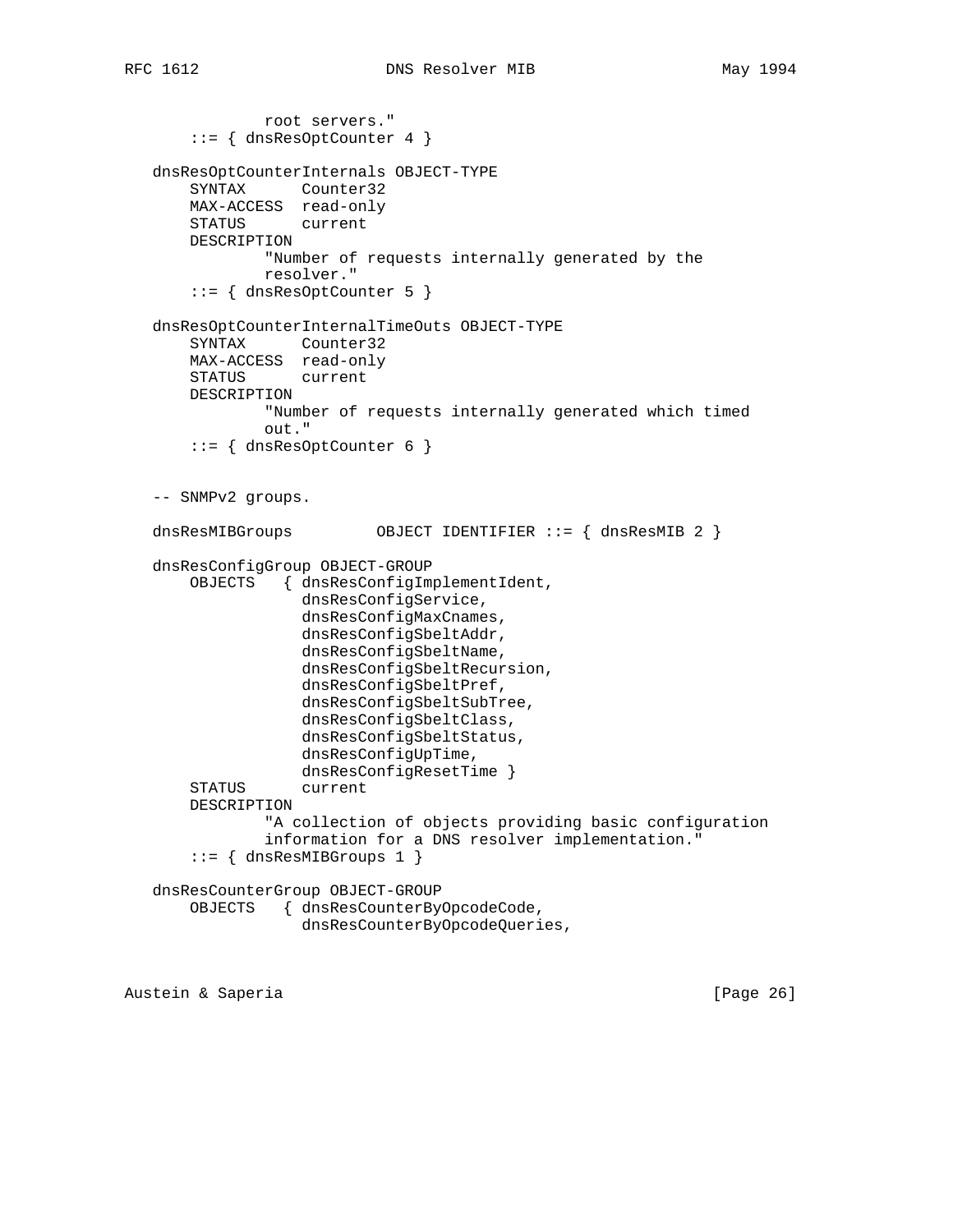root servers." ::= { dnsResOptCounter 4 } dnsResOptCounterInternals OBJECT-TYPE SYNTAX Counter32 MAX-ACCESS read-only STATUS current DESCRIPTION "Number of requests internally generated by the resolver." ::= { dnsResOptCounter 5 } dnsResOptCounterInternalTimeOuts OBJECT-TYPE SYNTAX Counter32 MAX-ACCESS read-only STATUS current DESCRIPTION "Number of requests internally generated which timed out."  $::=$  { dnsResOptCounter 6 } -- SNMPv2 groups. dnsResMIBGroups OBJECT IDENTIFIER ::= { dnsResMIB 2 } dnsResConfigGroup OBJECT-GROUP OBJECTS { dnsResConfigImplementIdent, dnsResConfigService, dnsResConfigMaxCnames, dnsResConfigSbeltAddr, dnsResConfigSbeltName, dnsResConfigSbeltRecursion, dnsResConfigSbeltPref, dnsResConfigSbeltSubTree, dnsResConfigSbeltClass, dnsResConfigSbeltStatus, dnsResConfigUpTime, dnsResConfigResetTime } STATUS current DESCRIPTION "A collection of objects providing basic configuration information for a DNS resolver implementation."  $::=$  { dnsResMIBGroups 1 } dnsResCounterGroup OBJECT-GROUP OBJECTS { dnsResCounterByOpcodeCode, dnsResCounterByOpcodeQueries,

Austein & Saperia (Page 26)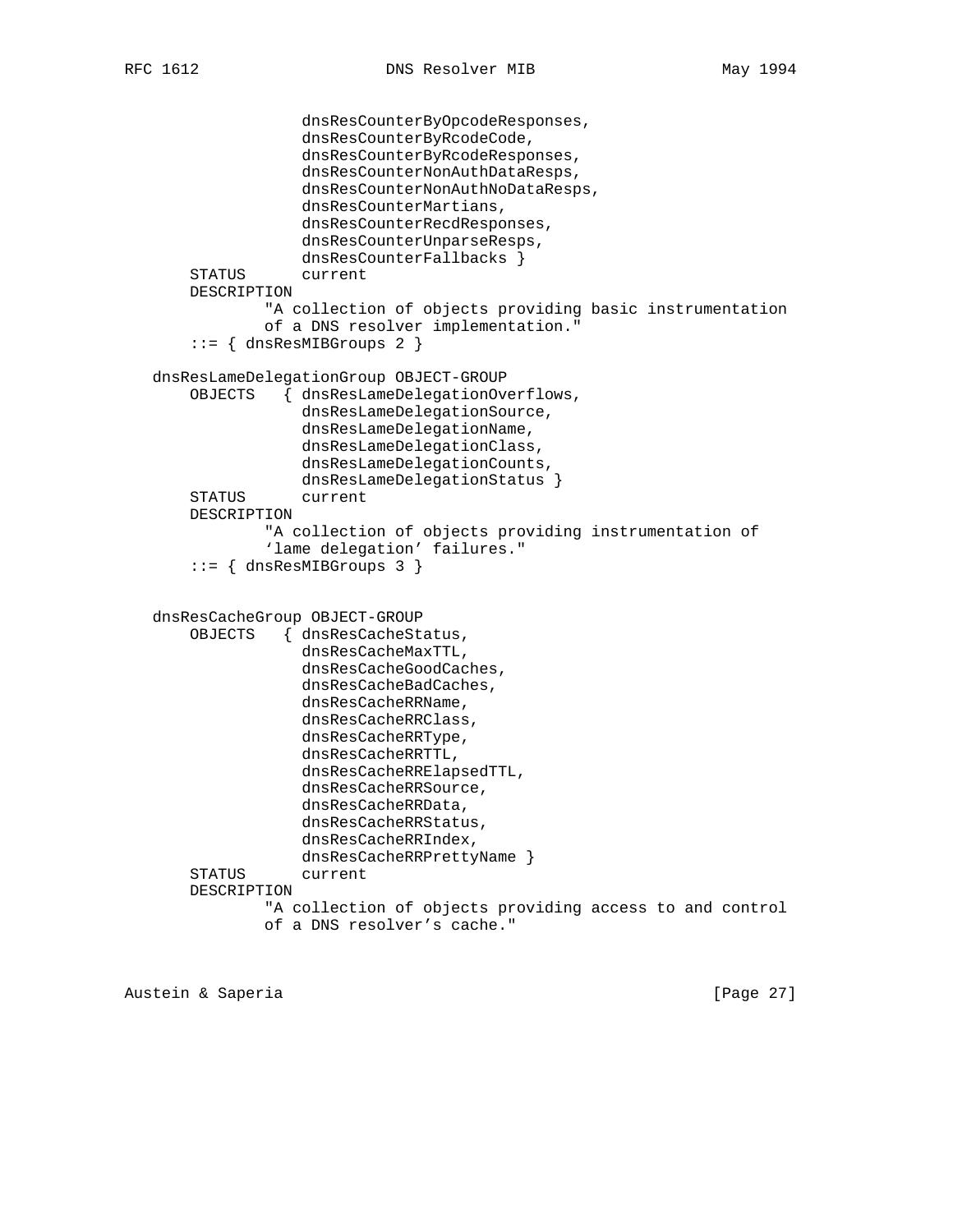```
 dnsResCounterByOpcodeResponses,
                 dnsResCounterByRcodeCode,
                 dnsResCounterByRcodeResponses,
                 dnsResCounterNonAuthDataResps,
                 dnsResCounterNonAuthNoDataResps,
                 dnsResCounterMartians,
                 dnsResCounterRecdResponses,
                 dnsResCounterUnparseResps,
                 dnsResCounterFallbacks }
     STATUS current
     DESCRIPTION
             "A collection of objects providing basic instrumentation
             of a DNS resolver implementation."
    ::= { dnsResMIBGroups 2 }
 dnsResLameDelegationGroup OBJECT-GROUP
     OBJECTS { dnsResLameDelegationOverflows,
                 dnsResLameDelegationSource,
                 dnsResLameDelegationName,
                 dnsResLameDelegationClass,
                 dnsResLameDelegationCounts,
                 dnsResLameDelegationStatus }
     STATUS current
     DESCRIPTION
             "A collection of objects providing instrumentation of
             'lame delegation' failures."
     ::= { dnsResMIBGroups 3 }
 dnsResCacheGroup OBJECT-GROUP
     OBJECTS { dnsResCacheStatus,
                 dnsResCacheMaxTTL,
                 dnsResCacheGoodCaches,
                 dnsResCacheBadCaches,
                 dnsResCacheRRName,
                 dnsResCacheRRClass,
                 dnsResCacheRRType,
                 dnsResCacheRRTTL,
                 dnsResCacheRRElapsedTTL,
                 dnsResCacheRRSource,
                 dnsResCacheRRData,
                 dnsResCacheRRStatus,
                 dnsResCacheRRIndex,
                 dnsResCacheRRPrettyName }
     STATUS current
     DESCRIPTION
             "A collection of objects providing access to and control
             of a DNS resolver's cache."
```
Austein & Saperia (Page 27)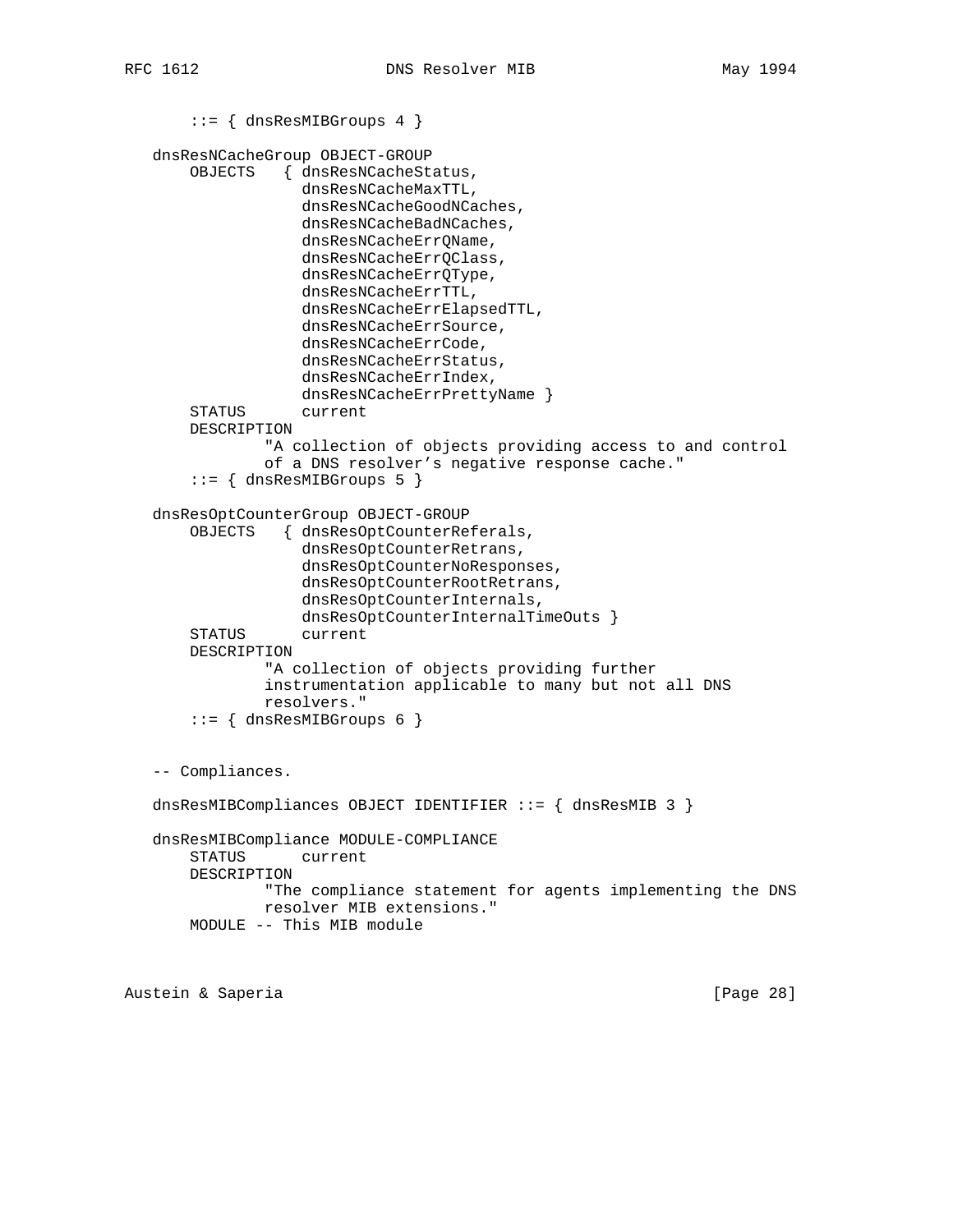```
 ::= { dnsResMIBGroups 4 }
 dnsResNCacheGroup OBJECT-GROUP
     OBJECTS { dnsResNCacheStatus,
                 dnsResNCacheMaxTTL,
                 dnsResNCacheGoodNCaches,
                 dnsResNCacheBadNCaches,
                 dnsResNCacheErrQName,
                 dnsResNCacheErrQClass,
                 dnsResNCacheErrQType,
                 dnsResNCacheErrTTL,
                 dnsResNCacheErrElapsedTTL,
                 dnsResNCacheErrSource,
                 dnsResNCacheErrCode,
                 dnsResNCacheErrStatus,
                 dnsResNCacheErrIndex,
                 dnsResNCacheErrPrettyName }
     STATUS current
     DESCRIPTION
             "A collection of objects providing access to and control
             of a DNS resolver's negative response cache."
     ::= { dnsResMIBGroups 5 }
 dnsResOptCounterGroup OBJECT-GROUP
     OBJECTS { dnsResOptCounterReferals,
                 dnsResOptCounterRetrans,
                 dnsResOptCounterNoResponses,
                 dnsResOptCounterRootRetrans,
                 dnsResOptCounterInternals,
                 dnsResOptCounterInternalTimeOuts }
     STATUS current
     DESCRIPTION
             "A collection of objects providing further
             instrumentation applicable to many but not all DNS
             resolvers."
    ::= { dnsResMIBGroups 6 }
 -- Compliances.
 dnsResMIBCompliances OBJECT IDENTIFIER ::= { dnsResMIB 3 }
 dnsResMIBCompliance MODULE-COMPLIANCE
    STATUS current
    DESCRIPTION
             "The compliance statement for agents implementing the DNS
             resolver MIB extensions."
    MODULE -- This MIB module
```
Austein & Saperia (Page 28)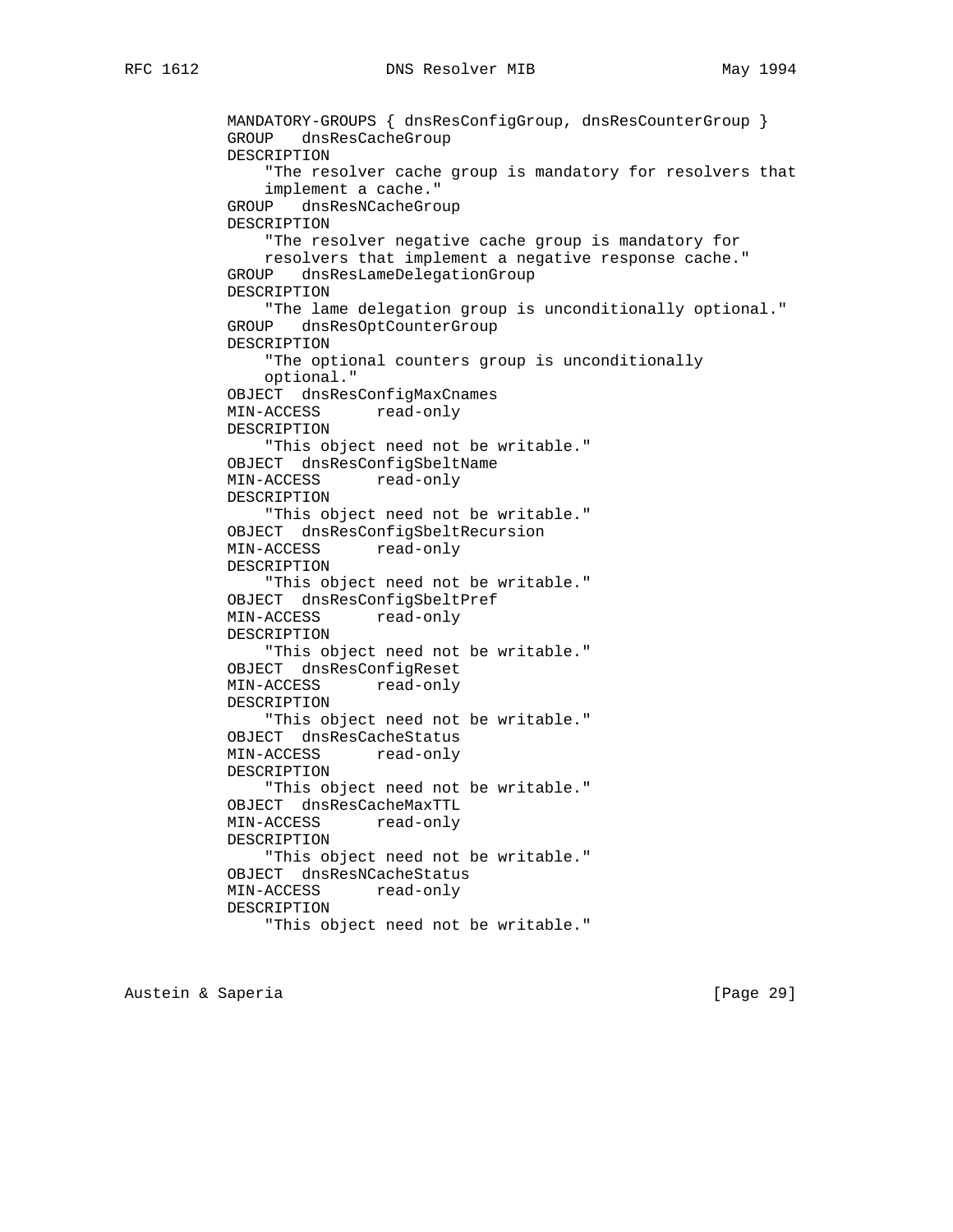MANDATORY-GROUPS { dnsResConfigGroup, dnsResCounterGroup } GROUP dnsResCacheGroup DESCRIPTION "The resolver cache group is mandatory for resolvers that implement a cache." GROUP dnsResNCacheGroup DESCRIPTION "The resolver negative cache group is mandatory for resolvers that implement a negative response cache." GROUP dnsResLameDelegationGroup DESCRIPTION "The lame delegation group is unconditionally optional." GROUP dnsResOptCounterGroup DESCRIPTION "The optional counters group is unconditionally optional." OBJECT dnsResConfigMaxCnames MIN-ACCESS read-only DESCRIPTION "This object need not be writable." OBJECT dnsResConfigSbeltName MIN-ACCESS read-only DESCRIPTION "This object need not be writable." OBJECT dnsResConfigSbeltRecursion MIN-ACCESS read-only DESCRIPTION "This object need not be writable." OBJECT dnsResConfigSbeltPref MIN-ACCESS read-only DESCRIPTION "This object need not be writable." OBJECT dnsResConfigReset MIN-ACCESS read-only DESCRIPTION "This object need not be writable." OBJECT dnsResCacheStatus MIN-ACCESS read-only DESCRIPTION "This object need not be writable." OBJECT dnsResCacheMaxTTL MIN-ACCESS read-only DESCRIPTION "This object need not be writable." OBJECT dnsResNCacheStatus MIN-ACCESS read-only DESCRIPTION "This object need not be writable."

Austein & Saperia **business and Contact Contact Contact Contact Contact Contact Contact Contact Contact Contact Contact Contact Contact Contact Contact Contact Contact Contact Contact Contact Contact Contact Contact Contac**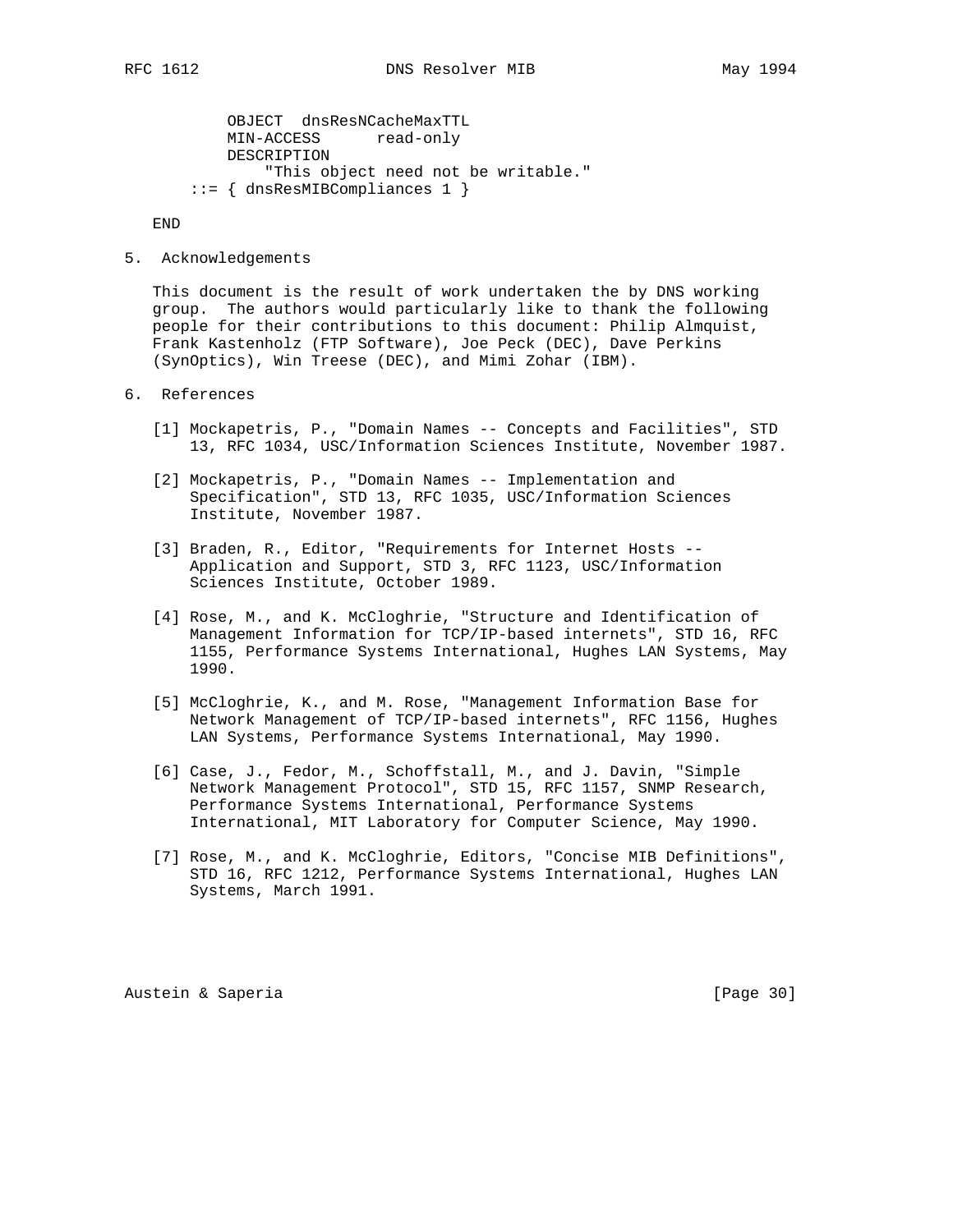OBJECT dnsResNCacheMaxTTL MIN-ACCESS read-only DESCRIPTION "This object need not be writable." ::= { dnsResMIBCompliances 1 }

END

5. Acknowledgements

 This document is the result of work undertaken the by DNS working group. The authors would particularly like to thank the following people for their contributions to this document: Philip Almquist, Frank Kastenholz (FTP Software), Joe Peck (DEC), Dave Perkins (SynOptics), Win Treese (DEC), and Mimi Zohar (IBM).

- 6. References
	- [1] Mockapetris, P., "Domain Names -- Concepts and Facilities", STD 13, RFC 1034, USC/Information Sciences Institute, November 1987.
	- [2] Mockapetris, P., "Domain Names -- Implementation and Specification", STD 13, RFC 1035, USC/Information Sciences Institute, November 1987.
	- [3] Braden, R., Editor, "Requirements for Internet Hosts -- Application and Support, STD 3, RFC 1123, USC/Information Sciences Institute, October 1989.
	- [4] Rose, M., and K. McCloghrie, "Structure and Identification of Management Information for TCP/IP-based internets", STD 16, RFC 1155, Performance Systems International, Hughes LAN Systems, May 1990.
	- [5] McCloghrie, K., and M. Rose, "Management Information Base for Network Management of TCP/IP-based internets", RFC 1156, Hughes LAN Systems, Performance Systems International, May 1990.
	- [6] Case, J., Fedor, M., Schoffstall, M., and J. Davin, "Simple Network Management Protocol", STD 15, RFC 1157, SNMP Research, Performance Systems International, Performance Systems International, MIT Laboratory for Computer Science, May 1990.
	- [7] Rose, M., and K. McCloghrie, Editors, "Concise MIB Definitions", STD 16, RFC 1212, Performance Systems International, Hughes LAN Systems, March 1991.

Austein & Saperia (Page 30)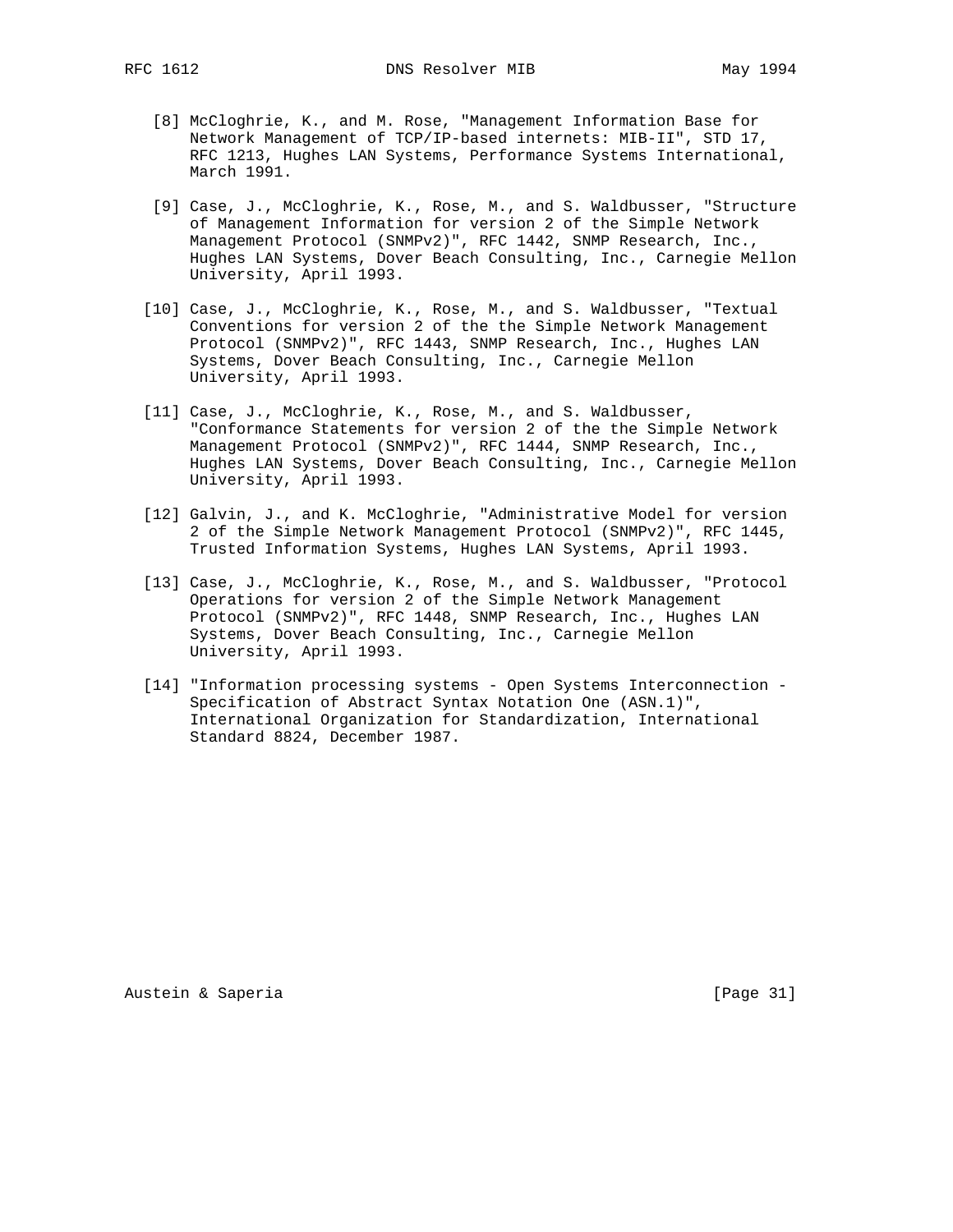- [8] McCloghrie, K., and M. Rose, "Management Information Base for Network Management of TCP/IP-based internets: MIB-II", STD 17, RFC 1213, Hughes LAN Systems, Performance Systems International, March 1991.
- [9] Case, J., McCloghrie, K., Rose, M., and S. Waldbusser, "Structure of Management Information for version 2 of the Simple Network Management Protocol (SNMPv2)", RFC 1442, SNMP Research, Inc., Hughes LAN Systems, Dover Beach Consulting, Inc., Carnegie Mellon University, April 1993.
- [10] Case, J., McCloghrie, K., Rose, M., and S. Waldbusser, "Textual Conventions for version 2 of the the Simple Network Management Protocol (SNMPv2)", RFC 1443, SNMP Research, Inc., Hughes LAN Systems, Dover Beach Consulting, Inc., Carnegie Mellon University, April 1993.
- [11] Case, J., McCloghrie, K., Rose, M., and S. Waldbusser, "Conformance Statements for version 2 of the the Simple Network Management Protocol (SNMPv2)", RFC 1444, SNMP Research, Inc., Hughes LAN Systems, Dover Beach Consulting, Inc., Carnegie Mellon University, April 1993.
- [12] Galvin, J., and K. McCloghrie, "Administrative Model for version 2 of the Simple Network Management Protocol (SNMPv2)", RFC 1445, Trusted Information Systems, Hughes LAN Systems, April 1993.
- [13] Case, J., McCloghrie, K., Rose, M., and S. Waldbusser, "Protocol Operations for version 2 of the Simple Network Management Protocol (SNMPv2)", RFC 1448, SNMP Research, Inc., Hughes LAN Systems, Dover Beach Consulting, Inc., Carnegie Mellon University, April 1993.
- [14] "Information processing systems Open Systems Interconnection Specification of Abstract Syntax Notation One (ASN.1)", International Organization for Standardization, International Standard 8824, December 1987.

Austein & Saperia (Page 31)